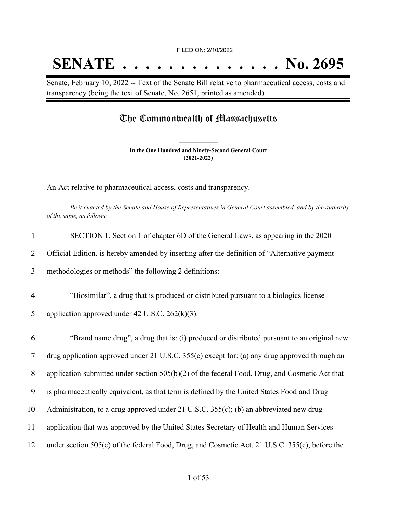## **SENATE . . . . . . . . . . . . . . No. 2695**

Senate, February 10, 2022 -- Text of the Senate Bill relative to pharmaceutical access, costs and transparency (being the text of Senate, No. 2651, printed as amended).

## The Commonwealth of Massachusetts

**In the One Hundred and Ninety-Second General Court (2021-2022) \_\_\_\_\_\_\_\_\_\_\_\_\_\_\_**

**\_\_\_\_\_\_\_\_\_\_\_\_\_\_\_**

An Act relative to pharmaceutical access, costs and transparency.

Be it enacted by the Senate and House of Representatives in General Court assembled, and by the authority *of the same, as follows:*

| $\mathbf{1}$   | SECTION 1. Section 1 of chapter 6D of the General Laws, as appearing in the 2020                 |
|----------------|--------------------------------------------------------------------------------------------------|
| 2              | Official Edition, is hereby amended by inserting after the definition of "Alternative payment    |
| $\overline{3}$ | methodologies or methods" the following 2 definitions:-                                          |
| $\overline{4}$ | "Biosimilar", a drug that is produced or distributed pursuant to a biologics license             |
| 5              | application approved under 42 U.S.C. $262(k)(3)$ .                                               |
| 6              | "Brand name drug", a drug that is: (i) produced or distributed pursuant to an original new       |
| $\overline{7}$ | drug application approved under 21 U.S.C. 355(c) except for: (a) any drug approved through an    |
| 8              | application submitted under section $505(b)(2)$ of the federal Food, Drug, and Cosmetic Act that |
| 9              | is pharmaceutically equivalent, as that term is defined by the United States Food and Drug       |
| 10             | Administration, to a drug approved under 21 U.S.C. 355(c); (b) an abbreviated new drug           |
| 11             | application that was approved by the United States Secretary of Health and Human Services        |
| 12             | under section 505(c) of the federal Food, Drug, and Cosmetic Act, 21 U.S.C. 355(c), before the   |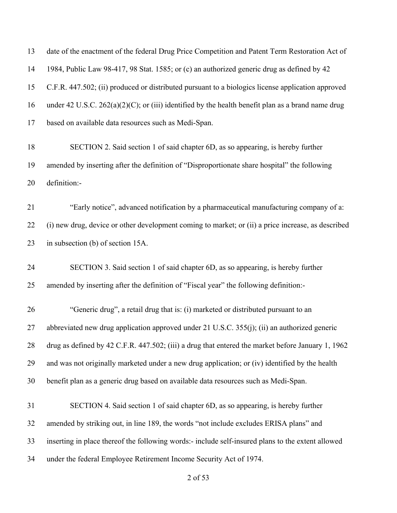date of the enactment of the federal Drug Price Competition and Patent Term Restoration Act of 1984, Public Law 98-417, 98 Stat. 1585; or (c) an authorized generic drug as defined by 42 C.F.R. 447.502; (ii) produced or distributed pursuant to a biologics license application approved under 42 U.S.C. 262(a)(2)(C); or (iii) identified by the health benefit plan as a brand name drug based on available data resources such as Medi-Span. SECTION 2. Said section 1 of said chapter 6D, as so appearing, is hereby further amended by inserting after the definition of "Disproportionate share hospital" the following definition:- "Early notice", advanced notification by a pharmaceutical manufacturing company of a: (i) new drug, device or other development coming to market; or (ii) a price increase, as described in subsection (b) of section 15A. SECTION 3. Said section 1 of said chapter 6D, as so appearing, is hereby further amended by inserting after the definition of "Fiscal year" the following definition:-

 "Generic drug", a retail drug that is: (i) marketed or distributed pursuant to an abbreviated new drug application approved under 21 U.S.C. 355(j); (ii) an authorized generic drug as defined by 42 C.F.R. 447.502; (iii) a drug that entered the market before January 1, 1962 and was not originally marketed under a new drug application; or (iv) identified by the health benefit plan as a generic drug based on available data resources such as Medi-Span.

 SECTION 4. Said section 1 of said chapter 6D, as so appearing, is hereby further amended by striking out, in line 189, the words "not include excludes ERISA plans" and inserting in place thereof the following words:- include self-insured plans to the extent allowed under the federal Employee Retirement Income Security Act of 1974.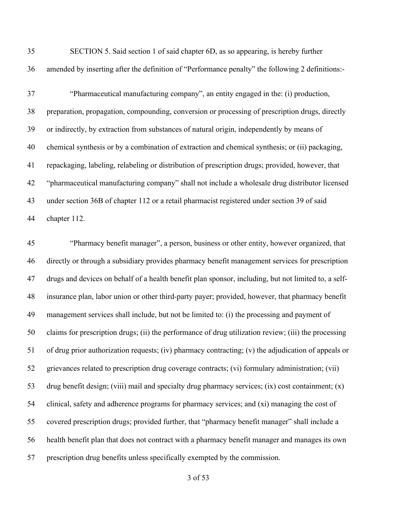| 35 | SECTION 5. Said section 1 of said chapter 6D, as so appearing, is hereby further                 |
|----|--------------------------------------------------------------------------------------------------|
| 36 | amended by inserting after the definition of "Performance penalty" the following 2 definitions:- |
| 37 | "Pharmaceutical manufacturing company", an entity engaged in the: (i) production,                |
| 38 | preparation, propagation, compounding, conversion or processing of prescription drugs, directly  |
| 39 | or indirectly, by extraction from substances of natural origin, independently by means of        |
| 40 | chemical synthesis or by a combination of extraction and chemical synthesis; or (ii) packaging,  |
| 41 | repackaging, labeling, relabeling or distribution of prescription drugs; provided, however, that |
| 42 | "pharmaceutical manufacturing company" shall not include a wholesale drug distributor licensed   |
| 43 | under section 36B of chapter 112 or a retail pharmacist registered under section 39 of said      |
| 44 | chapter 112.                                                                                     |

 "Pharmacy benefit manager", a person, business or other entity, however organized, that directly or through a subsidiary provides pharmacy benefit management services for prescription drugs and devices on behalf of a health benefit plan sponsor, including, but not limited to, a self- insurance plan, labor union or other third-party payer; provided, however, that pharmacy benefit management services shall include, but not be limited to: (i) the processing and payment of claims for prescription drugs; (ii) the performance of drug utilization review; (iii) the processing of drug prior authorization requests; (iv) pharmacy contracting; (v) the adjudication of appeals or grievances related to prescription drug coverage contracts; (vi) formulary administration; (vii) drug benefit design; (viii) mail and specialty drug pharmacy services; (ix) cost containment; (x) clinical, safety and adherence programs for pharmacy services; and (xi) managing the cost of covered prescription drugs; provided further, that "pharmacy benefit manager" shall include a health benefit plan that does not contract with a pharmacy benefit manager and manages its own prescription drug benefits unless specifically exempted by the commission.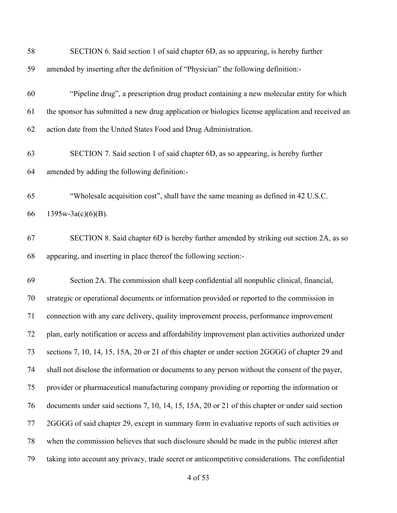| 58 | SECTION 6. Said section 1 of said chapter 6D, as so appearing, is hereby further                  |
|----|---------------------------------------------------------------------------------------------------|
| 59 | amended by inserting after the definition of "Physician" the following definition:-               |
| 60 | "Pipeline drug", a prescription drug product containing a new molecular entity for which          |
| 61 | the sponsor has submitted a new drug application or biologics license application and received an |
| 62 | action date from the United States Food and Drug Administration.                                  |
| 63 | SECTION 7. Said section 1 of said chapter 6D, as so appearing, is hereby further                  |
| 64 | amended by adding the following definition:-                                                      |
| 65 | "Wholesale acquisition cost", shall have the same meaning as defined in 42 U.S.C.                 |
| 66 | $1395w-3a(c)(6)(B)$ .                                                                             |
| 67 | SECTION 8. Said chapter 6D is hereby further amended by striking out section 2A, as so            |
| 68 | appearing, and inserting in place thereof the following section:-                                 |
| 69 | Section 2A. The commission shall keep confidential all nonpublic clinical, financial,             |
| 70 | strategic or operational documents or information provided or reported to the commission in       |
| 71 | connection with any care delivery, quality improvement process, performance improvement           |
| 72 | plan, early notification or access and affordability improvement plan activities authorized under |
| 73 | sections 7, 10, 14, 15, 15A, 20 or 21 of this chapter or under section 2GGGG of chapter 29 and    |
| 74 | shall not disclose the information or documents to any person without the consent of the payer,   |
| 75 | provider or pharmaceutical manufacturing company providing or reporting the information or        |
| 76 | documents under said sections 7, 10, 14, 15, 15A, 20 or 21 of this chapter or under said section  |
| 77 | 2GGGG of said chapter 29, except in summary form in evaluative reports of such activities or      |
| 78 | when the commission believes that such disclosure should be made in the public interest after     |
| 79 | taking into account any privacy, trade secret or anticompetitive considerations. The confidential |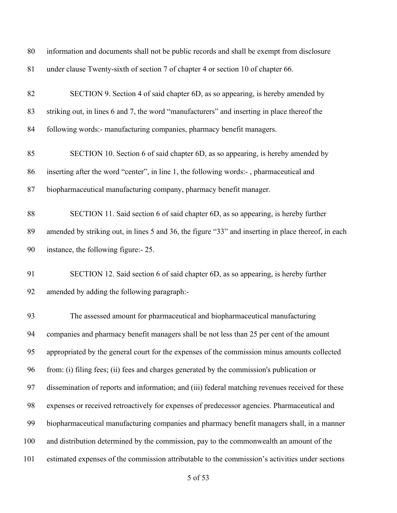| 80  | information and documents shall not be public records and shall be exempt from disclosure           |
|-----|-----------------------------------------------------------------------------------------------------|
| 81  | under clause Twenty-sixth of section 7 of chapter 4 or section 10 of chapter 66.                    |
| 82  | SECTION 9. Section 4 of said chapter 6D, as so appearing, is hereby amended by                      |
| 83  | striking out, in lines 6 and 7, the word "manufacturers" and inserting in place thereof the         |
| 84  | following words:- manufacturing companies, pharmacy benefit managers.                               |
| 85  | SECTION 10. Section 6 of said chapter 6D, as so appearing, is hereby amended by                     |
| 86  | inserting after the word "center", in line 1, the following words:-, pharmaceutical and             |
| 87  | biopharmaceutical manufacturing company, pharmacy benefit manager.                                  |
| 88  | SECTION 11. Said section 6 of said chapter 6D, as so appearing, is hereby further                   |
| 89  | amended by striking out, in lines 5 and 36, the figure "33" and inserting in place thereof, in each |
| 90  | instance, the following figure:- 25.                                                                |
| 91  | SECTION 12. Said section 6 of said chapter 6D, as so appearing, is hereby further                   |
| 92  | amended by adding the following paragraph:-                                                         |
| 93  | The assessed amount for pharmaceutical and biopharmaceutical manufacturing                          |
| 94  | companies and pharmacy benefit managers shall be not less than 25 per cent of the amount            |
| 95  | appropriated by the general court for the expenses of the commission minus amounts collected        |
| 96  | from: (i) filing fees; (ii) fees and charges generated by the commission's publication or           |
| 97  | dissemination of reports and information; and (iii) federal matching revenues received for these    |
| 98  | expenses or received retroactively for expenses of predecessor agencies. Pharmaceutical and         |
|     |                                                                                                     |
| 99  | biopharmaceutical manufacturing companies and pharmacy benefit managers shall, in a manner          |
| 100 | and distribution determined by the commission, pay to the commonwealth an amount of the             |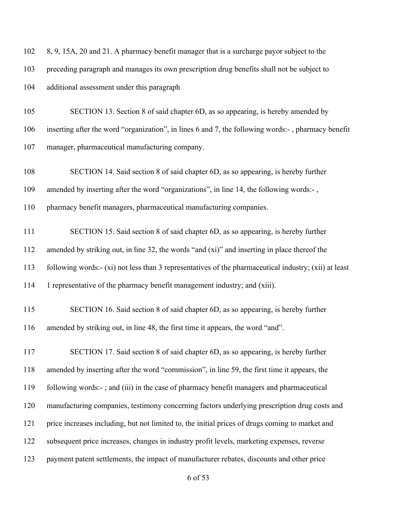| 102 | 8, 9, 15A, 20 and 21. A pharmacy benefit manager that is a surcharge payor subject to the             |
|-----|-------------------------------------------------------------------------------------------------------|
| 103 | preceding paragraph and manages its own prescription drug benefits shall not be subject to            |
| 104 | additional assessment under this paragraph                                                            |
| 105 | SECTION 13. Section 8 of said chapter 6D, as so appearing, is hereby amended by                       |
| 106 | inserting after the word "organization", in lines 6 and 7, the following words:-, pharmacy benefit    |
| 107 | manager, pharmaceutical manufacturing company.                                                        |
| 108 | SECTION 14. Said section 8 of said chapter 6D, as so appearing, is hereby further                     |
| 109 | amended by inserting after the word "organizations", in line 14, the following words:-,               |
| 110 | pharmacy benefit managers, pharmaceutical manufacturing companies.                                    |
| 111 | SECTION 15. Said section 8 of said chapter 6D, as so appearing, is hereby further                     |
| 112 | amended by striking out, in line 32, the words "and (xi)" and inserting in place thereof the          |
| 113 | following words:- (xi) not less than 3 representatives of the pharmaceutical industry; (xii) at least |
| 114 | 1 representative of the pharmacy benefit management industry; and (xiii).                             |
| 115 | SECTION 16. Said section 8 of said chapter 6D, as so appearing, is hereby further                     |
| 116 | amended by striking out, in line 48, the first time it appears, the word "and".                       |
| 117 | SECTION 17. Said section 8 of said chapter 6D, as so appearing, is hereby further                     |
| 118 | amended by inserting after the word "commission", in line 59, the first time it appears, the          |
| 119 | following words:-; and (iii) in the case of pharmacy benefit managers and pharmaceutical              |
| 120 | manufacturing companies, testimony concerning factors underlying prescription drug costs and          |
| 121 | price increases including, but not limited to, the initial prices of drugs coming to market and       |
| 122 | subsequent price increases, changes in industry profit levels, marketing expenses, reverse            |
| 123 | payment patent settlements, the impact of manufacturer rebates, discounts and other price             |
|     |                                                                                                       |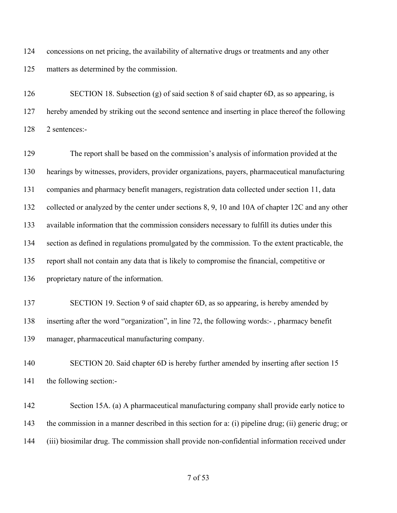concessions on net pricing, the availability of alternative drugs or treatments and any other matters as determined by the commission.

 SECTION 18. Subsection (g) of said section 8 of said chapter 6D, as so appearing, is hereby amended by striking out the second sentence and inserting in place thereof the following 2 sentences:-

 The report shall be based on the commission's analysis of information provided at the hearings by witnesses, providers, provider organizations, payers, pharmaceutical manufacturing companies and pharmacy benefit managers, registration data collected under section 11, data 132 collected or analyzed by the center under sections 8, 9, 10 and 10A of chapter 12C and any other available information that the commission considers necessary to fulfill its duties under this section as defined in regulations promulgated by the commission. To the extent practicable, the report shall not contain any data that is likely to compromise the financial, competitive or proprietary nature of the information.

 SECTION 19. Section 9 of said chapter 6D, as so appearing, is hereby amended by inserting after the word "organization", in line 72, the following words:- , pharmacy benefit manager, pharmaceutical manufacturing company.

140 SECTION 20. Said chapter 6D is hereby further amended by inserting after section 15 the following section:-

 Section 15A. (a) A pharmaceutical manufacturing company shall provide early notice to the commission in a manner described in this section for a: (i) pipeline drug; (ii) generic drug; or (iii) biosimilar drug. The commission shall provide non-confidential information received under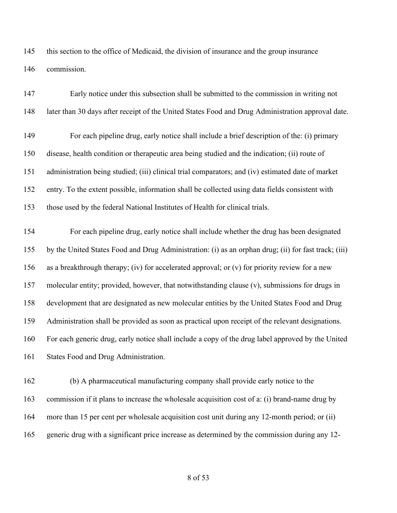this section to the office of Medicaid, the division of insurance and the group insurance commission.

| 147 | Early notice under this subsection shall be submitted to the commission in writing not               |
|-----|------------------------------------------------------------------------------------------------------|
| 148 | later than 30 days after receipt of the United States Food and Drug Administration approval date.    |
| 149 | For each pipeline drug, early notice shall include a brief description of the: (i) primary           |
| 150 | disease, health condition or therapeutic area being studied and the indication; (ii) route of        |
| 151 | administration being studied; (iii) clinical trial comparators; and (iv) estimated date of market    |
| 152 | entry. To the extent possible, information shall be collected using data fields consistent with      |
| 153 | those used by the federal National Institutes of Health for clinical trials.                         |
| 154 | For each pipeline drug, early notice shall include whether the drug has been designated              |
| 155 | by the United States Food and Drug Administration: (i) as an orphan drug; (ii) for fast track; (iii) |
| 156 | as a breakthrough therapy; (iv) for accelerated approval; or (v) for priority review for a new       |
| 157 | molecular entity; provided, however, that notwithstanding clause (v), submissions for drugs in       |
| 158 | development that are designated as new molecular entities by the United States Food and Drug         |
| 159 | Administration shall be provided as soon as practical upon receipt of the relevant designations.     |
| 160 | For each generic drug, early notice shall include a copy of the drug label approved by the United    |
| 161 | States Food and Drug Administration.                                                                 |
| 162 | (b) A pharmaceutical manufacturing company shall provide early notice to the                         |
| 163 | commission if it plans to increase the wholesale acquisition cost of a: (i) brand-name drug by       |
| 164 | more than 15 per cent per wholesale acquisition cost unit during any 12-month period; or (ii)        |

generic drug with a significant price increase as determined by the commission during any 12-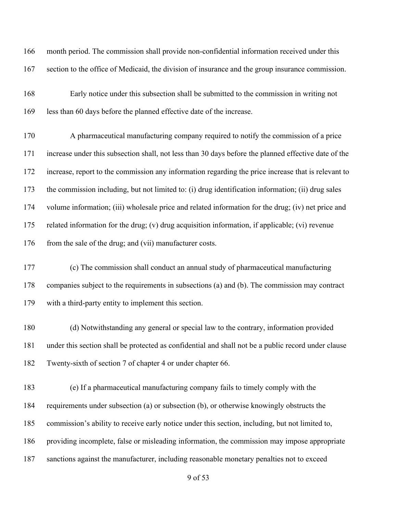month period. The commission shall provide non-confidential information received under this section to the office of Medicaid, the division of insurance and the group insurance commission.

 Early notice under this subsection shall be submitted to the commission in writing not less than 60 days before the planned effective date of the increase.

 A pharmaceutical manufacturing company required to notify the commission of a price increase under this subsection shall, not less than 30 days before the planned effective date of the increase, report to the commission any information regarding the price increase that is relevant to the commission including, but not limited to: (i) drug identification information; (ii) drug sales volume information; (iii) wholesale price and related information for the drug; (iv) net price and related information for the drug; (v) drug acquisition information, if applicable; (vi) revenue 176 from the sale of the drug; and (vii) manufacturer costs.

 (c) The commission shall conduct an annual study of pharmaceutical manufacturing companies subject to the requirements in subsections (a) and (b). The commission may contract with a third-party entity to implement this section.

 (d) Notwithstanding any general or special law to the contrary, information provided under this section shall be protected as confidential and shall not be a public record under clause Twenty-sixth of section 7 of chapter 4 or under chapter 66.

 (e) If a pharmaceutical manufacturing company fails to timely comply with the requirements under subsection (a) or subsection (b), or otherwise knowingly obstructs the commission's ability to receive early notice under this section, including, but not limited to, providing incomplete, false or misleading information, the commission may impose appropriate sanctions against the manufacturer, including reasonable monetary penalties not to exceed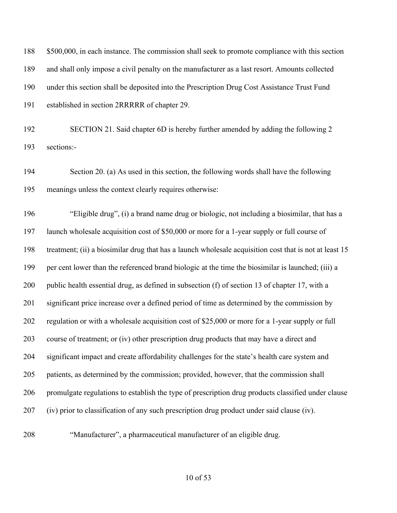| 188 | \$500,000, in each instance. The commission shall seek to promote compliance with this section         |
|-----|--------------------------------------------------------------------------------------------------------|
| 189 | and shall only impose a civil penalty on the manufacturer as a last resort. Amounts collected          |
| 190 | under this section shall be deposited into the Prescription Drug Cost Assistance Trust Fund            |
| 191 | established in section 2RRRRR of chapter 29.                                                           |
| 192 | SECTION 21. Said chapter 6D is hereby further amended by adding the following 2                        |
| 193 | sections:-                                                                                             |
| 194 | Section 20. (a) As used in this section, the following words shall have the following                  |
| 195 | meanings unless the context clearly requires otherwise:                                                |
| 196 | "Eligible drug", (i) a brand name drug or biologic, not including a biosimilar, that has a             |
| 197 | launch wholesale acquisition cost of \$50,000 or more for a 1-year supply or full course of            |
| 198 | treatment; (ii) a biosimilar drug that has a launch wholesale acquisition cost that is not at least 15 |
| 199 | per cent lower than the referenced brand biologic at the time the biosimilar is launched; (iii) a      |
| 200 | public health essential drug, as defined in subsection (f) of section 13 of chapter 17, with a         |
| 201 | significant price increase over a defined period of time as determined by the commission by            |
| 202 | regulation or with a wholesale acquisition cost of \$25,000 or more for a 1-year supply or full        |
| 203 | course of treatment; or (iv) other prescription drug products that may have a direct and               |
| 204 | significant impact and create affordability challenges for the state's health care system and          |
| 205 | patients, as determined by the commission; provided, however, that the commission shall                |
| 206 | promulgate regulations to establish the type of prescription drug products classified under clause     |
| 207 | (iv) prior to classification of any such prescription drug product under said clause (iv).             |
|     |                                                                                                        |

"Manufacturer", a pharmaceutical manufacturer of an eligible drug.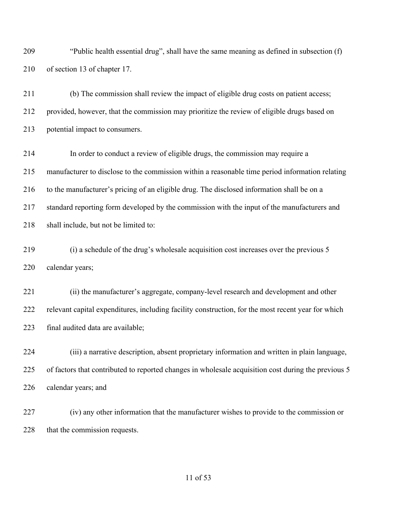"Public health essential drug", shall have the same meaning as defined in subsection (f) of section 13 of chapter 17.

 (b) The commission shall review the impact of eligible drug costs on patient access; provided, however, that the commission may prioritize the review of eligible drugs based on potential impact to consumers.

 In order to conduct a review of eligible drugs, the commission may require a manufacturer to disclose to the commission within a reasonable time period information relating to the manufacturer's pricing of an eligible drug. The disclosed information shall be on a standard reporting form developed by the commission with the input of the manufacturers and 218 shall include, but not be limited to:

 (i) a schedule of the drug's wholesale acquisition cost increases over the previous 5 calendar years;

 (ii) the manufacturer's aggregate, company-level research and development and other relevant capital expenditures, including facility construction, for the most recent year for which final audited data are available;

 (iii) a narrative description, absent proprietary information and written in plain language, of factors that contributed to reported changes in wholesale acquisition cost during the previous 5 calendar years; and

 (iv) any other information that the manufacturer wishes to provide to the commission or 228 that the commission requests.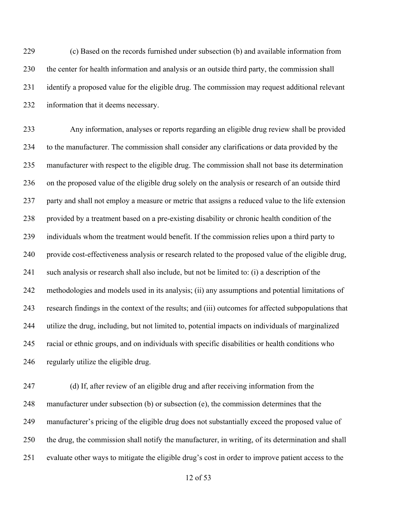(c) Based on the records furnished under subsection (b) and available information from the center for health information and analysis or an outside third party, the commission shall identify a proposed value for the eligible drug. The commission may request additional relevant information that it deems necessary.

 Any information, analyses or reports regarding an eligible drug review shall be provided to the manufacturer. The commission shall consider any clarifications or data provided by the manufacturer with respect to the eligible drug. The commission shall not base its determination on the proposed value of the eligible drug solely on the analysis or research of an outside third party and shall not employ a measure or metric that assigns a reduced value to the life extension provided by a treatment based on a pre-existing disability or chronic health condition of the individuals whom the treatment would benefit. If the commission relies upon a third party to provide cost-effectiveness analysis or research related to the proposed value of the eligible drug, such analysis or research shall also include, but not be limited to: (i) a description of the methodologies and models used in its analysis; (ii) any assumptions and potential limitations of research findings in the context of the results; and (iii) outcomes for affected subpopulations that utilize the drug, including, but not limited to, potential impacts on individuals of marginalized racial or ethnic groups, and on individuals with specific disabilities or health conditions who regularly utilize the eligible drug.

 (d) If, after review of an eligible drug and after receiving information from the manufacturer under subsection (b) or subsection (e), the commission determines that the manufacturer's pricing of the eligible drug does not substantially exceed the proposed value of the drug, the commission shall notify the manufacturer, in writing, of its determination and shall evaluate other ways to mitigate the eligible drug's cost in order to improve patient access to the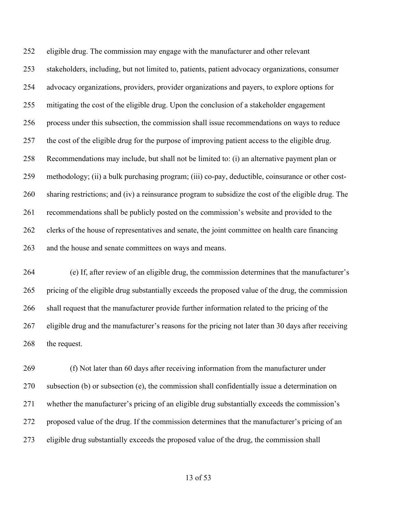eligible drug. The commission may engage with the manufacturer and other relevant stakeholders, including, but not limited to, patients, patient advocacy organizations, consumer advocacy organizations, providers, provider organizations and payers, to explore options for mitigating the cost of the eligible drug. Upon the conclusion of a stakeholder engagement process under this subsection, the commission shall issue recommendations on ways to reduce the cost of the eligible drug for the purpose of improving patient access to the eligible drug. Recommendations may include, but shall not be limited to: (i) an alternative payment plan or methodology; (ii) a bulk purchasing program; (iii) co-pay, deductible, coinsurance or other cost- sharing restrictions; and (iv) a reinsurance program to subsidize the cost of the eligible drug. The recommendations shall be publicly posted on the commission's website and provided to the clerks of the house of representatives and senate, the joint committee on health care financing and the house and senate committees on ways and means.

 (e) If, after review of an eligible drug, the commission determines that the manufacturer's pricing of the eligible drug substantially exceeds the proposed value of the drug, the commission shall request that the manufacturer provide further information related to the pricing of the eligible drug and the manufacturer's reasons for the pricing not later than 30 days after receiving 268 the request.

 (f) Not later than 60 days after receiving information from the manufacturer under subsection (b) or subsection (e), the commission shall confidentially issue a determination on whether the manufacturer's pricing of an eligible drug substantially exceeds the commission's proposed value of the drug. If the commission determines that the manufacturer's pricing of an eligible drug substantially exceeds the proposed value of the drug, the commission shall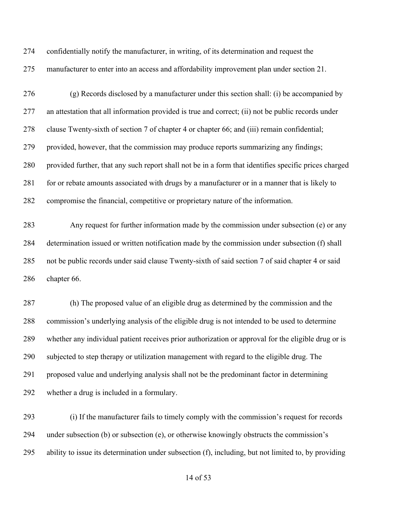confidentially notify the manufacturer, in writing, of its determination and request the manufacturer to enter into an access and affordability improvement plan under section 21.

 (g) Records disclosed by a manufacturer under this section shall: (i) be accompanied by an attestation that all information provided is true and correct; (ii) not be public records under clause Twenty-sixth of section 7 of chapter 4 or chapter 66; and (iii) remain confidential; provided, however, that the commission may produce reports summarizing any findings; provided further, that any such report shall not be in a form that identifies specific prices charged 281 for or rebate amounts associated with drugs by a manufacturer or in a manner that is likely to compromise the financial, competitive or proprietary nature of the information.

 Any request for further information made by the commission under subsection (e) or any determination issued or written notification made by the commission under subsection (f) shall not be public records under said clause Twenty-sixth of said section 7 of said chapter 4 or said chapter 66.

 (h) The proposed value of an eligible drug as determined by the commission and the commission's underlying analysis of the eligible drug is not intended to be used to determine whether any individual patient receives prior authorization or approval for the eligible drug or is subjected to step therapy or utilization management with regard to the eligible drug. The proposed value and underlying analysis shall not be the predominant factor in determining whether a drug is included in a formulary.

 (i) If the manufacturer fails to timely comply with the commission's request for records under subsection (b) or subsection (e), or otherwise knowingly obstructs the commission's ability to issue its determination under subsection (f), including, but not limited to, by providing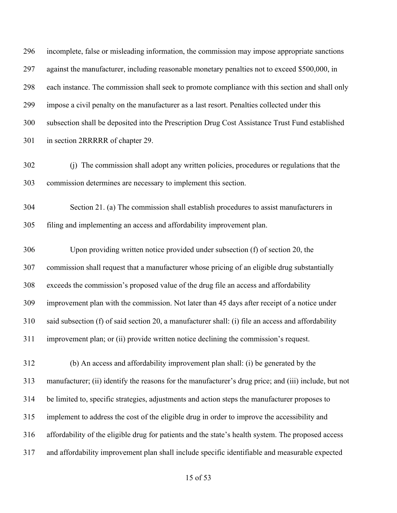incomplete, false or misleading information, the commission may impose appropriate sanctions against the manufacturer, including reasonable monetary penalties not to exceed \$500,000, in each instance. The commission shall seek to promote compliance with this section and shall only impose a civil penalty on the manufacturer as a last resort. Penalties collected under this subsection shall be deposited into the Prescription Drug Cost Assistance Trust Fund established in section 2RRRRR of chapter 29.

- (j) The commission shall adopt any written policies, procedures or regulations that the commission determines are necessary to implement this section.
- Section 21. (a) The commission shall establish procedures to assist manufacturers in filing and implementing an access and affordability improvement plan.

 Upon providing written notice provided under subsection (f) of section 20, the commission shall request that a manufacturer whose pricing of an eligible drug substantially exceeds the commission's proposed value of the drug file an access and affordability improvement plan with the commission. Not later than 45 days after receipt of a notice under said subsection (f) of said section 20, a manufacturer shall: (i) file an access and affordability improvement plan; or (ii) provide written notice declining the commission's request.

 (b) An access and affordability improvement plan shall: (i) be generated by the manufacturer; (ii) identify the reasons for the manufacturer's drug price; and (iii) include, but not be limited to, specific strategies, adjustments and action steps the manufacturer proposes to implement to address the cost of the eligible drug in order to improve the accessibility and affordability of the eligible drug for patients and the state's health system. The proposed access and affordability improvement plan shall include specific identifiable and measurable expected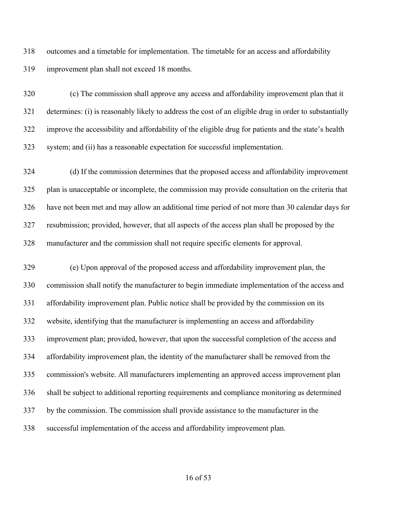outcomes and a timetable for implementation. The timetable for an access and affordability improvement plan shall not exceed 18 months.

 (c) The commission shall approve any access and affordability improvement plan that it determines: (i) is reasonably likely to address the cost of an eligible drug in order to substantially improve the accessibility and affordability of the eligible drug for patients and the state's health system; and (ii) has a reasonable expectation for successful implementation.

 (d) If the commission determines that the proposed access and affordability improvement plan is unacceptable or incomplete, the commission may provide consultation on the criteria that have not been met and may allow an additional time period of not more than 30 calendar days for resubmission; provided, however, that all aspects of the access plan shall be proposed by the manufacturer and the commission shall not require specific elements for approval.

 (e) Upon approval of the proposed access and affordability improvement plan, the commission shall notify the manufacturer to begin immediate implementation of the access and affordability improvement plan. Public notice shall be provided by the commission on its website, identifying that the manufacturer is implementing an access and affordability improvement plan; provided, however, that upon the successful completion of the access and affordability improvement plan, the identity of the manufacturer shall be removed from the commission's website. All manufacturers implementing an approved access improvement plan shall be subject to additional reporting requirements and compliance monitoring as determined by the commission. The commission shall provide assistance to the manufacturer in the successful implementation of the access and affordability improvement plan.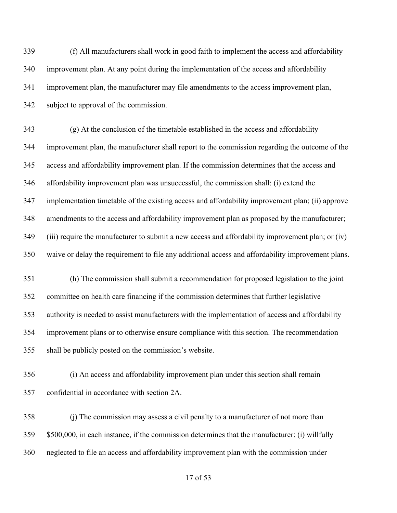(f) All manufacturers shall work in good faith to implement the access and affordability improvement plan. At any point during the implementation of the access and affordability improvement plan, the manufacturer may file amendments to the access improvement plan, subject to approval of the commission.

 (g) At the conclusion of the timetable established in the access and affordability improvement plan, the manufacturer shall report to the commission regarding the outcome of the access and affordability improvement plan. If the commission determines that the access and affordability improvement plan was unsuccessful, the commission shall: (i) extend the implementation timetable of the existing access and affordability improvement plan; (ii) approve amendments to the access and affordability improvement plan as proposed by the manufacturer; (iii) require the manufacturer to submit a new access and affordability improvement plan; or (iv) waive or delay the requirement to file any additional access and affordability improvement plans.

 (h) The commission shall submit a recommendation for proposed legislation to the joint committee on health care financing if the commission determines that further legislative authority is needed to assist manufacturers with the implementation of access and affordability improvement plans or to otherwise ensure compliance with this section. The recommendation shall be publicly posted on the commission's website.

 (i) An access and affordability improvement plan under this section shall remain confidential in accordance with section 2A.

 (j) The commission may assess a civil penalty to a manufacturer of not more than \$500,000, in each instance, if the commission determines that the manufacturer: (i) willfully neglected to file an access and affordability improvement plan with the commission under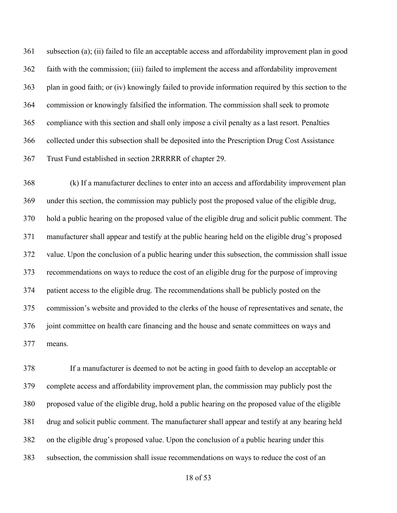subsection (a); (ii) failed to file an acceptable access and affordability improvement plan in good faith with the commission; (iii) failed to implement the access and affordability improvement plan in good faith; or (iv) knowingly failed to provide information required by this section to the commission or knowingly falsified the information. The commission shall seek to promote compliance with this section and shall only impose a civil penalty as a last resort. Penalties collected under this subsection shall be deposited into the Prescription Drug Cost Assistance Trust Fund established in section 2RRRRR of chapter 29.

 (k) If a manufacturer declines to enter into an access and affordability improvement plan under this section, the commission may publicly post the proposed value of the eligible drug, hold a public hearing on the proposed value of the eligible drug and solicit public comment. The manufacturer shall appear and testify at the public hearing held on the eligible drug's proposed value. Upon the conclusion of a public hearing under this subsection, the commission shall issue recommendations on ways to reduce the cost of an eligible drug for the purpose of improving patient access to the eligible drug. The recommendations shall be publicly posted on the commission's website and provided to the clerks of the house of representatives and senate, the joint committee on health care financing and the house and senate committees on ways and means.

 If a manufacturer is deemed to not be acting in good faith to develop an acceptable or complete access and affordability improvement plan, the commission may publicly post the proposed value of the eligible drug, hold a public hearing on the proposed value of the eligible drug and solicit public comment. The manufacturer shall appear and testify at any hearing held on the eligible drug's proposed value. Upon the conclusion of a public hearing under this subsection, the commission shall issue recommendations on ways to reduce the cost of an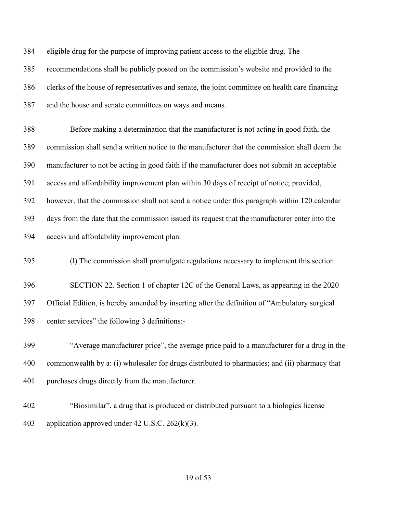eligible drug for the purpose of improving patient access to the eligible drug. The recommendations shall be publicly posted on the commission's website and provided to the clerks of the house of representatives and senate, the joint committee on health care financing and the house and senate committees on ways and means.

 Before making a determination that the manufacturer is not acting in good faith, the commission shall send a written notice to the manufacturer that the commission shall deem the manufacturer to not be acting in good faith if the manufacturer does not submit an acceptable access and affordability improvement plan within 30 days of receipt of notice; provided, however, that the commission shall not send a notice under this paragraph within 120 calendar days from the date that the commission issued its request that the manufacturer enter into the access and affordability improvement plan.

(l) The commission shall promulgate regulations necessary to implement this section.

 SECTION 22. Section 1 of chapter 12C of the General Laws, as appearing in the 2020 Official Edition, is hereby amended by inserting after the definition of "Ambulatory surgical center services" the following 3 definitions:-

 "Average manufacturer price", the average price paid to a manufacturer for a drug in the commonwealth by a: (i) wholesaler for drugs distributed to pharmacies; and (ii) pharmacy that purchases drugs directly from the manufacturer.

 "Biosimilar", a drug that is produced or distributed pursuant to a biologics license application approved under 42 U.S.C. 262(k)(3).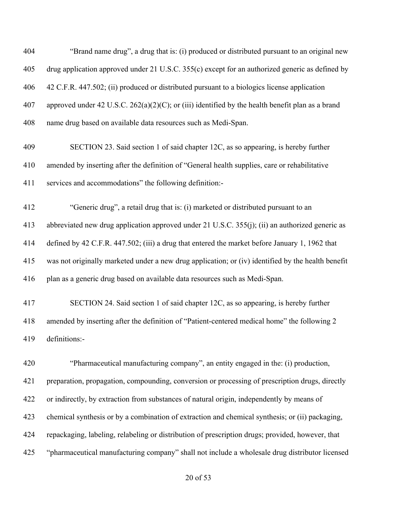"Brand name drug", a drug that is: (i) produced or distributed pursuant to an original new drug application approved under 21 U.S.C. 355(c) except for an authorized generic as defined by 42 C.F.R. 447.502; (ii) produced or distributed pursuant to a biologics license application approved under 42 U.S.C. 262(a)(2)(C); or (iii) identified by the health benefit plan as a brand name drug based on available data resources such as Medi-Span. SECTION 23. Said section 1 of said chapter 12C, as so appearing, is hereby further amended by inserting after the definition of "General health supplies, care or rehabilitative services and accommodations" the following definition:- "Generic drug", a retail drug that is: (i) marketed or distributed pursuant to an abbreviated new drug application approved under 21 U.S.C. 355(j); (ii) an authorized generic as defined by 42 C.F.R. 447.502; (iii) a drug that entered the market before January 1, 1962 that was not originally marketed under a new drug application; or (iv) identified by the health benefit plan as a generic drug based on available data resources such as Medi-Span. SECTION 24. Said section 1 of said chapter 12C, as so appearing, is hereby further amended by inserting after the definition of "Patient-centered medical home" the following 2 definitions:- "Pharmaceutical manufacturing company", an entity engaged in the: (i) production, preparation, propagation, compounding, conversion or processing of prescription drugs, directly or indirectly, by extraction from substances of natural origin, independently by means of chemical synthesis or by a combination of extraction and chemical synthesis; or (ii) packaging, repackaging, labeling, relabeling or distribution of prescription drugs; provided, however, that "pharmaceutical manufacturing company" shall not include a wholesale drug distributor licensed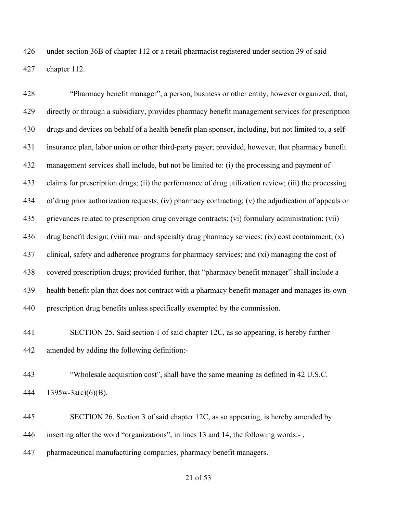under section 36B of chapter 112 or a retail pharmacist registered under section 39 of said chapter 112.

 "Pharmacy benefit manager", a person, business or other entity, however organized, that, directly or through a subsidiary, provides pharmacy benefit management services for prescription drugs and devices on behalf of a health benefit plan sponsor, including, but not limited to, a self- insurance plan, labor union or other third-party payer; provided, however, that pharmacy benefit management services shall include, but not be limited to: (i) the processing and payment of claims for prescription drugs; (ii) the performance of drug utilization review; (iii) the processing of drug prior authorization requests; (iv) pharmacy contracting; (v) the adjudication of appeals or grievances related to prescription drug coverage contracts; (vi) formulary administration; (vii) drug benefit design; (viii) mail and specialty drug pharmacy services; (ix) cost containment; (x) clinical, safety and adherence programs for pharmacy services; and (xi) managing the cost of covered prescription drugs; provided further, that "pharmacy benefit manager" shall include a health benefit plan that does not contract with a pharmacy benefit manager and manages its own prescription drug benefits unless specifically exempted by the commission.

 SECTION 25. Said section 1 of said chapter 12C, as so appearing, is hereby further amended by adding the following definition:-

 "Wholesale acquisition cost", shall have the same meaning as defined in 42 U.S.C. 1395w-3a(c)(6)(B).

 SECTION 26. Section 3 of said chapter 12C, as so appearing, is hereby amended by inserting after the word "organizations", in lines 13 and 14, the following words:- ,

pharmaceutical manufacturing companies, pharmacy benefit managers.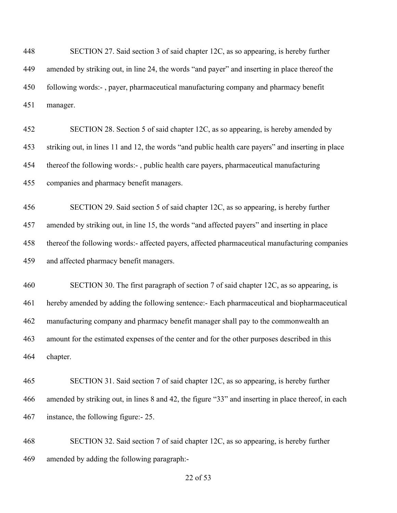| 448 | SECTION 27. Said section 3 of said chapter 12C, as so appearing, is hereby further                  |
|-----|-----------------------------------------------------------------------------------------------------|
| 449 | amended by striking out, in line 24, the words "and payer" and inserting in place thereof the       |
| 450 | following words:-, payer, pharmaceutical manufacturing company and pharmacy benefit                 |
| 451 | manager.                                                                                            |
| 452 | SECTION 28. Section 5 of said chapter 12C, as so appearing, is hereby amended by                    |
| 453 | striking out, in lines 11 and 12, the words "and public health care payers" and inserting in place  |
| 454 | thereof the following words:-, public health care payers, pharmaceutical manufacturing              |
| 455 | companies and pharmacy benefit managers.                                                            |
| 456 | SECTION 29. Said section 5 of said chapter 12C, as so appearing, is hereby further                  |
| 457 | amended by striking out, in line 15, the words "and affected payers" and inserting in place         |
| 458 | thereof the following words:- affected payers, affected pharmaceutical manufacturing companies      |
| 459 | and affected pharmacy benefit managers.                                                             |
| 460 | SECTION 30. The first paragraph of section 7 of said chapter 12C, as so appearing, is               |
| 461 | hereby amended by adding the following sentence:- Each pharmaceutical and biopharmaceutical         |
| 462 | manufacturing company and pharmacy benefit manager shall pay to the commonwealth an                 |
| 463 | amount for the estimated expenses of the center and for the other purposes described in this        |
| 464 | chapter.                                                                                            |
| 465 | SECTION 31. Said section 7 of said chapter 12C, as so appearing, is hereby further                  |
| 466 | amended by striking out, in lines 8 and 42, the figure "33" and inserting in place thereof, in each |
| 467 | instance, the following figure: - 25.                                                               |
| 468 | SECTION 32. Said section 7 of said chapter 12C, as so appearing, is hereby further                  |
| 469 | amended by adding the following paragraph:-                                                         |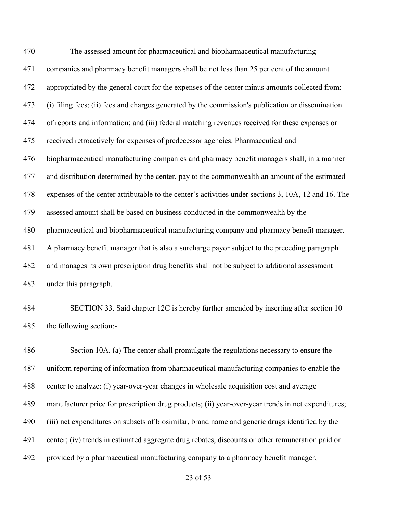The assessed amount for pharmaceutical and biopharmaceutical manufacturing companies and pharmacy benefit managers shall be not less than 25 per cent of the amount appropriated by the general court for the expenses of the center minus amounts collected from: (i) filing fees; (ii) fees and charges generated by the commission's publication or dissemination of reports and information; and (iii) federal matching revenues received for these expenses or received retroactively for expenses of predecessor agencies. Pharmaceutical and biopharmaceutical manufacturing companies and pharmacy benefit managers shall, in a manner and distribution determined by the center, pay to the commonwealth an amount of the estimated expenses of the center attributable to the center's activities under sections 3, 10A, 12 and 16. The assessed amount shall be based on business conducted in the commonwealth by the pharmaceutical and biopharmaceutical manufacturing company and pharmacy benefit manager. A pharmacy benefit manager that is also a surcharge payor subject to the preceding paragraph and manages its own prescription drug benefits shall not be subject to additional assessment under this paragraph.

 SECTION 33. Said chapter 12C is hereby further amended by inserting after section 10 the following section:-

 Section 10A. (a) The center shall promulgate the regulations necessary to ensure the uniform reporting of information from pharmaceutical manufacturing companies to enable the center to analyze: (i) year-over-year changes in wholesale acquisition cost and average manufacturer price for prescription drug products; (ii) year-over-year trends in net expenditures; (iii) net expenditures on subsets of biosimilar, brand name and generic drugs identified by the center; (iv) trends in estimated aggregate drug rebates, discounts or other remuneration paid or provided by a pharmaceutical manufacturing company to a pharmacy benefit manager,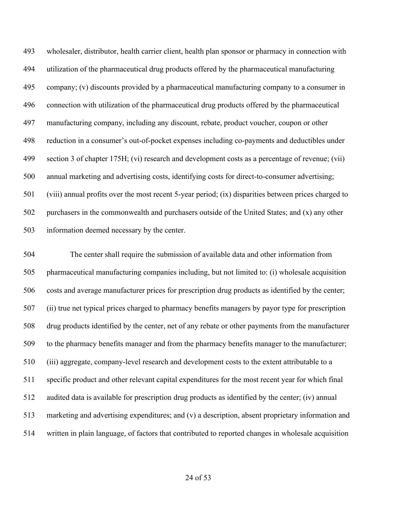wholesaler, distributor, health carrier client, health plan sponsor or pharmacy in connection with utilization of the pharmaceutical drug products offered by the pharmaceutical manufacturing company; (v) discounts provided by a pharmaceutical manufacturing company to a consumer in connection with utilization of the pharmaceutical drug products offered by the pharmaceutical manufacturing company, including any discount, rebate, product voucher, coupon or other reduction in a consumer's out-of-pocket expenses including co-payments and deductibles under section 3 of chapter 175H; (vi) research and development costs as a percentage of revenue; (vii) annual marketing and advertising costs, identifying costs for direct-to-consumer advertising; (viii) annual profits over the most recent 5-year period; (ix) disparities between prices charged to 502 purchasers in the commonwealth and purchasers outside of the United States; and  $(x)$  any other information deemed necessary by the center.

 The center shall require the submission of available data and other information from pharmaceutical manufacturing companies including, but not limited to: (i) wholesale acquisition costs and average manufacturer prices for prescription drug products as identified by the center; (ii) true net typical prices charged to pharmacy benefits managers by payor type for prescription drug products identified by the center, net of any rebate or other payments from the manufacturer to the pharmacy benefits manager and from the pharmacy benefits manager to the manufacturer; (iii) aggregate, company-level research and development costs to the extent attributable to a specific product and other relevant capital expenditures for the most recent year for which final audited data is available for prescription drug products as identified by the center; (iv) annual marketing and advertising expenditures; and (v) a description, absent proprietary information and written in plain language, of factors that contributed to reported changes in wholesale acquisition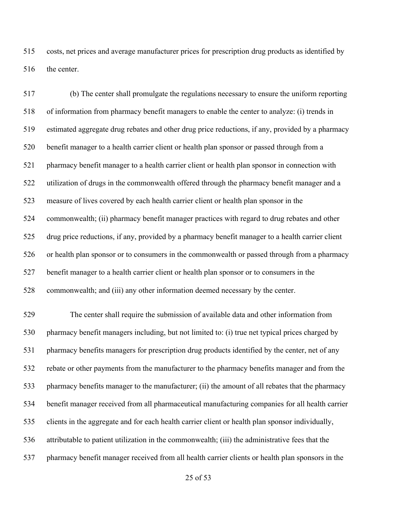costs, net prices and average manufacturer prices for prescription drug products as identified by 516 the center.

 (b) The center shall promulgate the regulations necessary to ensure the uniform reporting of information from pharmacy benefit managers to enable the center to analyze: (i) trends in estimated aggregate drug rebates and other drug price reductions, if any, provided by a pharmacy benefit manager to a health carrier client or health plan sponsor or passed through from a pharmacy benefit manager to a health carrier client or health plan sponsor in connection with utilization of drugs in the commonwealth offered through the pharmacy benefit manager and a measure of lives covered by each health carrier client or health plan sponsor in the commonwealth; (ii) pharmacy benefit manager practices with regard to drug rebates and other drug price reductions, if any, provided by a pharmacy benefit manager to a health carrier client or health plan sponsor or to consumers in the commonwealth or passed through from a pharmacy benefit manager to a health carrier client or health plan sponsor or to consumers in the commonwealth; and (iii) any other information deemed necessary by the center.

 The center shall require the submission of available data and other information from pharmacy benefit managers including, but not limited to: (i) true net typical prices charged by pharmacy benefits managers for prescription drug products identified by the center, net of any rebate or other payments from the manufacturer to the pharmacy benefits manager and from the pharmacy benefits manager to the manufacturer; (ii) the amount of all rebates that the pharmacy benefit manager received from all pharmaceutical manufacturing companies for all health carrier clients in the aggregate and for each health carrier client or health plan sponsor individually, attributable to patient utilization in the commonwealth; (iii) the administrative fees that the pharmacy benefit manager received from all health carrier clients or health plan sponsors in the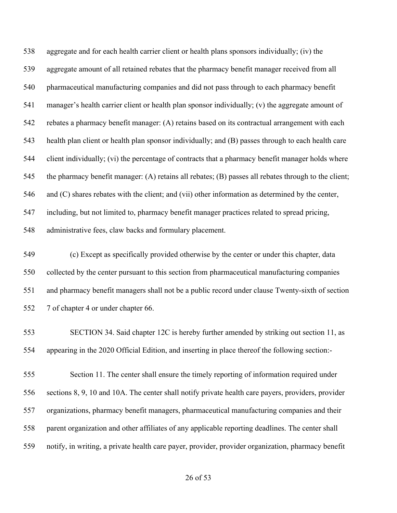aggregate and for each health carrier client or health plans sponsors individually; (iv) the aggregate amount of all retained rebates that the pharmacy benefit manager received from all pharmaceutical manufacturing companies and did not pass through to each pharmacy benefit manager's health carrier client or health plan sponsor individually; (v) the aggregate amount of rebates a pharmacy benefit manager: (A) retains based on its contractual arrangement with each health plan client or health plan sponsor individually; and (B) passes through to each health care client individually; (vi) the percentage of contracts that a pharmacy benefit manager holds where the pharmacy benefit manager: (A) retains all rebates; (B) passes all rebates through to the client; and (C) shares rebates with the client; and (vii) other information as determined by the center, including, but not limited to, pharmacy benefit manager practices related to spread pricing, administrative fees, claw backs and formulary placement.

 (c) Except as specifically provided otherwise by the center or under this chapter, data collected by the center pursuant to this section from pharmaceutical manufacturing companies and pharmacy benefit managers shall not be a public record under clause Twenty-sixth of section 7 of chapter 4 or under chapter 66.

 SECTION 34. Said chapter 12C is hereby further amended by striking out section 11, as appearing in the 2020 Official Edition, and inserting in place thereof the following section:-

 Section 11. The center shall ensure the timely reporting of information required under sections 8, 9, 10 and 10A. The center shall notify private health care payers, providers, provider organizations, pharmacy benefit managers, pharmaceutical manufacturing companies and their parent organization and other affiliates of any applicable reporting deadlines. The center shall notify, in writing, a private health care payer, provider, provider organization, pharmacy benefit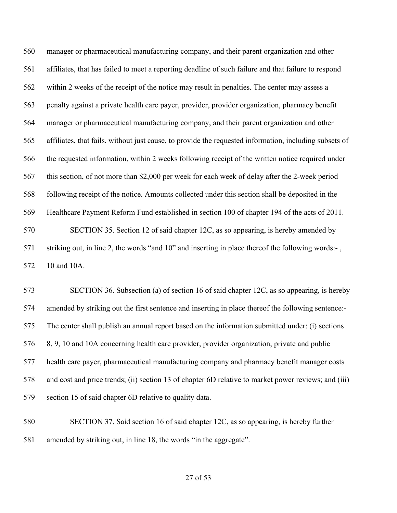manager or pharmaceutical manufacturing company, and their parent organization and other affiliates, that has failed to meet a reporting deadline of such failure and that failure to respond within 2 weeks of the receipt of the notice may result in penalties. The center may assess a penalty against a private health care payer, provider, provider organization, pharmacy benefit manager or pharmaceutical manufacturing company, and their parent organization and other affiliates, that fails, without just cause, to provide the requested information, including subsets of the requested information, within 2 weeks following receipt of the written notice required under this section, of not more than \$2,000 per week for each week of delay after the 2-week period following receipt of the notice. Amounts collected under this section shall be deposited in the Healthcare Payment Reform Fund established in section 100 of chapter 194 of the acts of 2011. SECTION 35. Section 12 of said chapter 12C, as so appearing, is hereby amended by striking out, in line 2, the words "and 10" and inserting in place thereof the following words:- , 10 and 10A.

 SECTION 36. Subsection (a) of section 16 of said chapter 12C, as so appearing, is hereby amended by striking out the first sentence and inserting in place thereof the following sentence:- The center shall publish an annual report based on the information submitted under: (i) sections 8, 9, 10 and 10A concerning health care provider, provider organization, private and public health care payer, pharmaceutical manufacturing company and pharmacy benefit manager costs and cost and price trends; (ii) section 13 of chapter 6D relative to market power reviews; and (iii) section 15 of said chapter 6D relative to quality data.

 SECTION 37. Said section 16 of said chapter 12C, as so appearing, is hereby further amended by striking out, in line 18, the words "in the aggregate".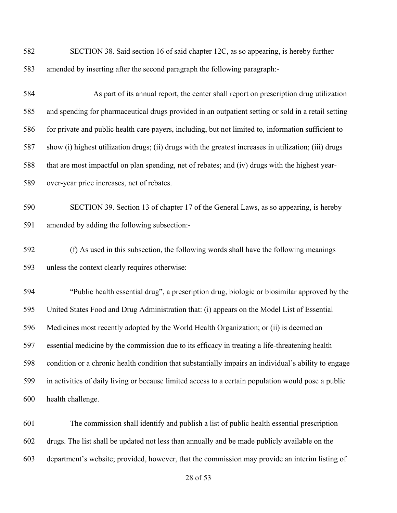SECTION 38. Said section 16 of said chapter 12C, as so appearing, is hereby further amended by inserting after the second paragraph the following paragraph:-

 As part of its annual report, the center shall report on prescription drug utilization and spending for pharmaceutical drugs provided in an outpatient setting or sold in a retail setting for private and public health care payers, including, but not limited to, information sufficient to show (i) highest utilization drugs; (ii) drugs with the greatest increases in utilization; (iii) drugs that are most impactful on plan spending, net of rebates; and (iv) drugs with the highest year-over-year price increases, net of rebates.

 SECTION 39. Section 13 of chapter 17 of the General Laws, as so appearing, is hereby amended by adding the following subsection:-

 (f) As used in this subsection, the following words shall have the following meanings unless the context clearly requires otherwise:

 "Public health essential drug", a prescription drug, biologic or biosimilar approved by the United States Food and Drug Administration that: (i) appears on the Model List of Essential Medicines most recently adopted by the World Health Organization; or (ii) is deemed an essential medicine by the commission due to its efficacy in treating a life-threatening health condition or a chronic health condition that substantially impairs an individual's ability to engage in activities of daily living or because limited access to a certain population would pose a public health challenge.

 The commission shall identify and publish a list of public health essential prescription drugs. The list shall be updated not less than annually and be made publicly available on the department's website; provided, however, that the commission may provide an interim listing of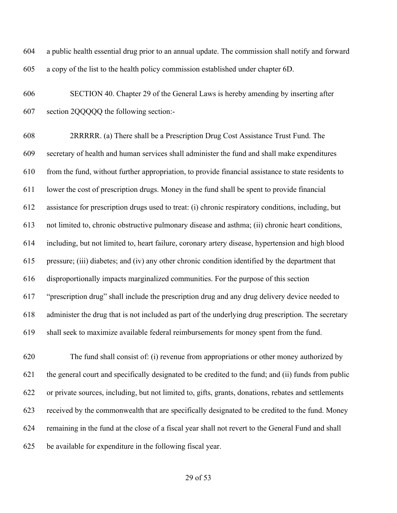a public health essential drug prior to an annual update. The commission shall notify and forward a copy of the list to the health policy commission established under chapter 6D.

 SECTION 40. Chapter 29 of the General Laws is hereby amending by inserting after section 2QQQQQ the following section:-

 2RRRRR. (a) There shall be a Prescription Drug Cost Assistance Trust Fund. The secretary of health and human services shall administer the fund and shall make expenditures from the fund, without further appropriation, to provide financial assistance to state residents to lower the cost of prescription drugs. Money in the fund shall be spent to provide financial assistance for prescription drugs used to treat: (i) chronic respiratory conditions, including, but not limited to, chronic obstructive pulmonary disease and asthma; (ii) chronic heart conditions, including, but not limited to, heart failure, coronary artery disease, hypertension and high blood pressure; (iii) diabetes; and (iv) any other chronic condition identified by the department that disproportionally impacts marginalized communities. For the purpose of this section "prescription drug" shall include the prescription drug and any drug delivery device needed to administer the drug that is not included as part of the underlying drug prescription. The secretary shall seek to maximize available federal reimbursements for money spent from the fund.

 The fund shall consist of: (i) revenue from appropriations or other money authorized by the general court and specifically designated to be credited to the fund; and (ii) funds from public or private sources, including, but not limited to, gifts, grants, donations, rebates and settlements received by the commonwealth that are specifically designated to be credited to the fund. Money remaining in the fund at the close of a fiscal year shall not revert to the General Fund and shall be available for expenditure in the following fiscal year.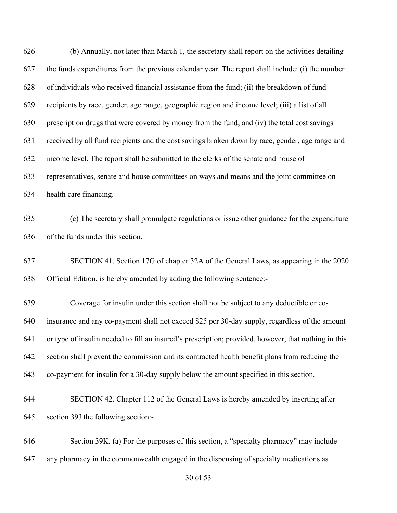| 626 | (b) Annually, not later than March 1, the secretary shall report on the activities detailing         |
|-----|------------------------------------------------------------------------------------------------------|
| 627 | the funds expenditures from the previous calendar year. The report shall include: (i) the number     |
| 628 | of individuals who received financial assistance from the fund; (ii) the breakdown of fund           |
| 629 | recipients by race, gender, age range, geographic region and income level; (iii) a list of all       |
| 630 | prescription drugs that were covered by money from the fund; and (iv) the total cost savings         |
| 631 | received by all fund recipients and the cost savings broken down by race, gender, age range and      |
| 632 | income level. The report shall be submitted to the clerks of the senate and house of                 |
| 633 | representatives, senate and house committees on ways and means and the joint committee on            |
| 634 | health care financing.                                                                               |
| 635 | (c) The secretary shall promulgate regulations or issue other guidance for the expenditure           |
| 636 | of the funds under this section.                                                                     |
| 637 | SECTION 41. Section 17G of chapter 32A of the General Laws, as appearing in the 2020                 |
| 638 | Official Edition, is hereby amended by adding the following sentence:-                               |
| 639 | Coverage for insulin under this section shall not be subject to any deductible or co-                |
| 640 | insurance and any co-payment shall not exceed \$25 per 30-day supply, regardless of the amount       |
| 641 | or type of insulin needed to fill an insured's prescription; provided, however, that nothing in this |
| 642 | section shall prevent the commission and its contracted health benefit plans from reducing the       |
| 643 | co-payment for insulin for a 30-day supply below the amount specified in this section.               |
| 644 | SECTION 42. Chapter 112 of the General Laws is hereby amended by inserting after                     |
| 645 | section 39J the following section:-                                                                  |
| 646 | Section 39K. (a) For the purposes of this section, a "specialty pharmacy" may include                |
| 647 | any pharmacy in the commonwealth engaged in the dispensing of specialty medications as               |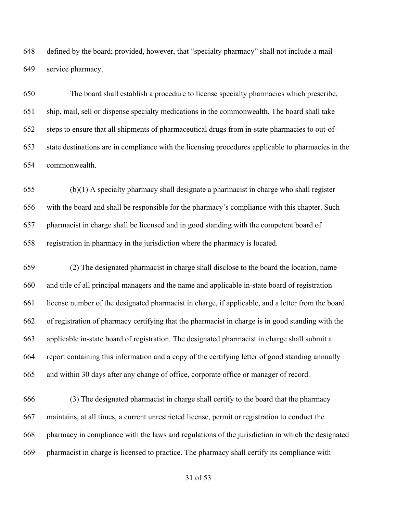defined by the board; provided, however, that "specialty pharmacy" shall not include a mail service pharmacy.

 The board shall establish a procedure to license specialty pharmacies which prescribe, ship, mail, sell or dispense specialty medications in the commonwealth. The board shall take steps to ensure that all shipments of pharmaceutical drugs from in-state pharmacies to out-of- state destinations are in compliance with the licensing procedures applicable to pharmacies in the commonwealth.

 (b)(1) A specialty pharmacy shall designate a pharmacist in charge who shall register with the board and shall be responsible for the pharmacy's compliance with this chapter. Such pharmacist in charge shall be licensed and in good standing with the competent board of registration in pharmacy in the jurisdiction where the pharmacy is located.

 (2) The designated pharmacist in charge shall disclose to the board the location, name and title of all principal managers and the name and applicable in-state board of registration license number of the designated pharmacist in charge, if applicable, and a letter from the board of registration of pharmacy certifying that the pharmacist in charge is in good standing with the applicable in-state board of registration. The designated pharmacist in charge shall submit a report containing this information and a copy of the certifying letter of good standing annually and within 30 days after any change of office, corporate office or manager of record.

 (3) The designated pharmacist in charge shall certify to the board that the pharmacy maintains, at all times, a current unrestricted license, permit or registration to conduct the pharmacy in compliance with the laws and regulations of the jurisdiction in which the designated pharmacist in charge is licensed to practice. The pharmacy shall certify its compliance with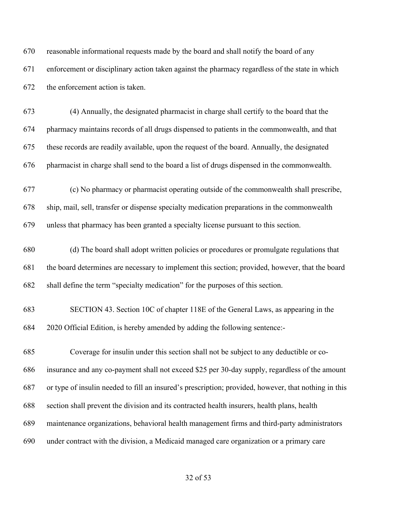reasonable informational requests made by the board and shall notify the board of any enforcement or disciplinary action taken against the pharmacy regardless of the state in which the enforcement action is taken.

 (4) Annually, the designated pharmacist in charge shall certify to the board that the pharmacy maintains records of all drugs dispensed to patients in the commonwealth, and that these records are readily available, upon the request of the board. Annually, the designated pharmacist in charge shall send to the board a list of drugs dispensed in the commonwealth.

 (c) No pharmacy or pharmacist operating outside of the commonwealth shall prescribe, ship, mail, sell, transfer or dispense specialty medication preparations in the commonwealth unless that pharmacy has been granted a specialty license pursuant to this section.

 (d) The board shall adopt written policies or procedures or promulgate regulations that the board determines are necessary to implement this section; provided, however, that the board shall define the term "specialty medication" for the purposes of this section.

 SECTION 43. Section 10C of chapter 118E of the General Laws, as appearing in the 2020 Official Edition, is hereby amended by adding the following sentence:-

 Coverage for insulin under this section shall not be subject to any deductible or co- insurance and any co-payment shall not exceed \$25 per 30-day supply, regardless of the amount or type of insulin needed to fill an insured's prescription; provided, however, that nothing in this section shall prevent the division and its contracted health insurers, health plans, health maintenance organizations, behavioral health management firms and third-party administrators under contract with the division, a Medicaid managed care organization or a primary care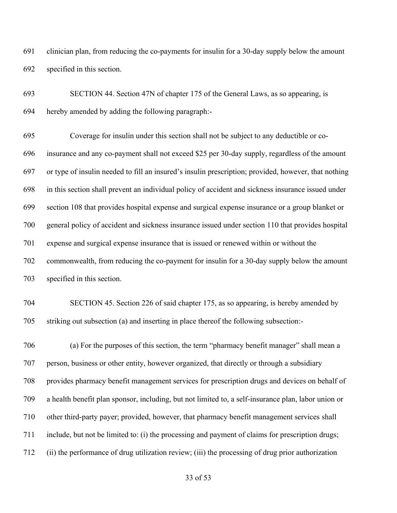clinician plan, from reducing the co-payments for insulin for a 30-day supply below the amount specified in this section.

 SECTION 44. Section 47N of chapter 175 of the General Laws, as so appearing, is hereby amended by adding the following paragraph:-

 Coverage for insulin under this section shall not be subject to any deductible or co- insurance and any co-payment shall not exceed \$25 per 30-day supply, regardless of the amount or type of insulin needed to fill an insured's insulin prescription; provided, however, that nothing in this section shall prevent an individual policy of accident and sickness insurance issued under section 108 that provides hospital expense and surgical expense insurance or a group blanket or general policy of accident and sickness insurance issued under section 110 that provides hospital expense and surgical expense insurance that is issued or renewed within or without the commonwealth, from reducing the co-payment for insulin for a 30-day supply below the amount specified in this section.

## SECTION 45. Section 226 of said chapter 175, as so appearing, is hereby amended by striking out subsection (a) and inserting in place thereof the following subsection:-

 (a) For the purposes of this section, the term "pharmacy benefit manager" shall mean a person, business or other entity, however organized, that directly or through a subsidiary provides pharmacy benefit management services for prescription drugs and devices on behalf of a health benefit plan sponsor, including, but not limited to, a self-insurance plan, labor union or other third-party payer; provided, however, that pharmacy benefit management services shall include, but not be limited to: (i) the processing and payment of claims for prescription drugs; (ii) the performance of drug utilization review; (iii) the processing of drug prior authorization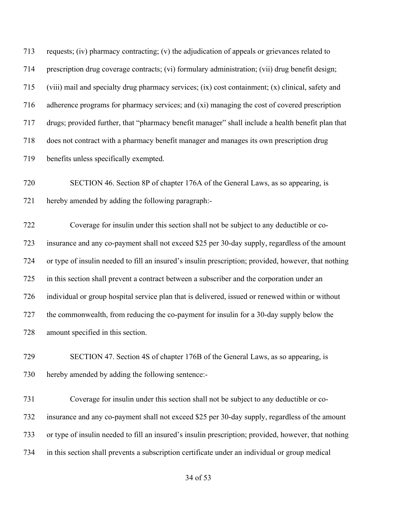requests; (iv) pharmacy contracting; (v) the adjudication of appeals or grievances related to prescription drug coverage contracts; (vi) formulary administration; (vii) drug benefit design; (viii) mail and specialty drug pharmacy services; (ix) cost containment; (x) clinical, safety and adherence programs for pharmacy services; and (xi) managing the cost of covered prescription drugs; provided further, that "pharmacy benefit manager" shall include a health benefit plan that does not contract with a pharmacy benefit manager and manages its own prescription drug benefits unless specifically exempted. SECTION 46. Section 8P of chapter 176A of the General Laws, as so appearing, is hereby amended by adding the following paragraph:- Coverage for insulin under this section shall not be subject to any deductible or co- insurance and any co-payment shall not exceed \$25 per 30-day supply, regardless of the amount or type of insulin needed to fill an insured's insulin prescription; provided, however, that nothing in this section shall prevent a contract between a subscriber and the corporation under an individual or group hospital service plan that is delivered, issued or renewed within or without the commonwealth, from reducing the co-payment for insulin for a 30-day supply below the amount specified in this section. SECTION 47. Section 4S of chapter 176B of the General Laws, as so appearing, is hereby amended by adding the following sentence:- Coverage for insulin under this section shall not be subject to any deductible or co- insurance and any co-payment shall not exceed \$25 per 30-day supply, regardless of the amount or type of insulin needed to fill an insured's insulin prescription; provided, however, that nothing in this section shall prevents a subscription certificate under an individual or group medical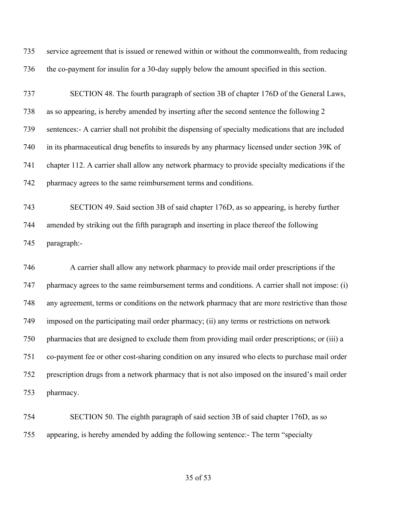service agreement that is issued or renewed within or without the commonwealth, from reducing the co-payment for insulin for a 30-day supply below the amount specified in this section.

 SECTION 48. The fourth paragraph of section 3B of chapter 176D of the General Laws, as so appearing, is hereby amended by inserting after the second sentence the following 2 sentences:- A carrier shall not prohibit the dispensing of specialty medications that are included in its pharmaceutical drug benefits to insureds by any pharmacy licensed under section 39K of chapter 112. A carrier shall allow any network pharmacy to provide specialty medications if the pharmacy agrees to the same reimbursement terms and conditions.

 SECTION 49. Said section 3B of said chapter 176D, as so appearing, is hereby further amended by striking out the fifth paragraph and inserting in place thereof the following paragraph:-

 A carrier shall allow any network pharmacy to provide mail order prescriptions if the 747 pharmacy agrees to the same reimbursement terms and conditions. A carrier shall not impose: (i) any agreement, terms or conditions on the network pharmacy that are more restrictive than those imposed on the participating mail order pharmacy; (ii) any terms or restrictions on network pharmacies that are designed to exclude them from providing mail order prescriptions; or (iii) a co-payment fee or other cost-sharing condition on any insured who elects to purchase mail order prescription drugs from a network pharmacy that is not also imposed on the insured's mail order pharmacy.

 SECTION 50. The eighth paragraph of said section 3B of said chapter 176D, as so appearing, is hereby amended by adding the following sentence:- The term "specialty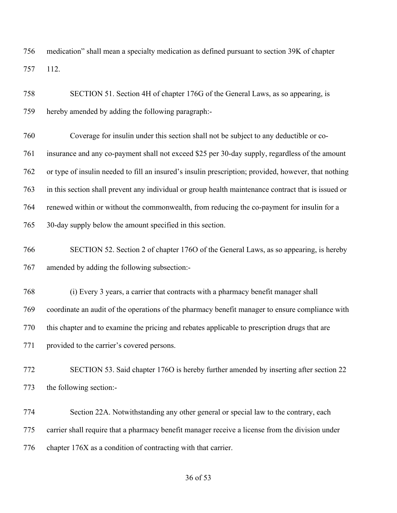medication" shall mean a specialty medication as defined pursuant to section 39K of chapter 112.

 SECTION 51. Section 4H of chapter 176G of the General Laws, as so appearing, is hereby amended by adding the following paragraph:-

 Coverage for insulin under this section shall not be subject to any deductible or co- insurance and any co-payment shall not exceed \$25 per 30-day supply, regardless of the amount or type of insulin needed to fill an insured's insulin prescription; provided, however, that nothing in this section shall prevent any individual or group health maintenance contract that is issued or renewed within or without the commonwealth, from reducing the co-payment for insulin for a 30-day supply below the amount specified in this section.

 SECTION 52. Section 2 of chapter 176O of the General Laws, as so appearing, is hereby amended by adding the following subsection:-

 (i) Every 3 years, a carrier that contracts with a pharmacy benefit manager shall coordinate an audit of the operations of the pharmacy benefit manager to ensure compliance with this chapter and to examine the pricing and rebates applicable to prescription drugs that are provided to the carrier's covered persons.

 SECTION 53. Said chapter 176O is hereby further amended by inserting after section 22 the following section:-

 Section 22A. Notwithstanding any other general or special law to the contrary, each carrier shall require that a pharmacy benefit manager receive a license from the division under chapter 176X as a condition of contracting with that carrier.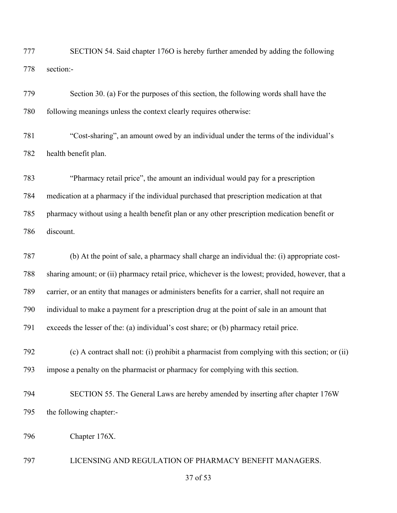SECTION 54. Said chapter 176O is hereby further amended by adding the following section:-

| 779 | Section 30. (a) For the purposes of this section, the following words shall have the              |
|-----|---------------------------------------------------------------------------------------------------|
| 780 | following meanings unless the context clearly requires otherwise:                                 |
| 781 | "Cost-sharing", an amount owed by an individual under the terms of the individual's               |
| 782 | health benefit plan.                                                                              |
| 783 | "Pharmacy retail price", the amount an individual would pay for a prescription                    |
| 784 | medication at a pharmacy if the individual purchased that prescription medication at that         |
| 785 | pharmacy without using a health benefit plan or any other prescription medication benefit or      |
| 786 | discount.                                                                                         |
| 787 | (b) At the point of sale, a pharmacy shall charge an individual the: (i) appropriate cost-        |
| 788 | sharing amount; or (ii) pharmacy retail price, whichever is the lowest; provided, however, that a |
| 789 | carrier, or an entity that manages or administers benefits for a carrier, shall not require an    |
| 790 | individual to make a payment for a prescription drug at the point of sale in an amount that       |
| 791 | exceeds the lesser of the: (a) individual's cost share; or (b) pharmacy retail price.             |
|     |                                                                                                   |

 (c) A contract shall not: (i) prohibit a pharmacist from complying with this section; or (ii) impose a penalty on the pharmacist or pharmacy for complying with this section.

- SECTION 55. The General Laws are hereby amended by inserting after chapter 176W the following chapter:-
- Chapter 176X.

LICENSING AND REGULATION OF PHARMACY BENEFIT MANAGERS.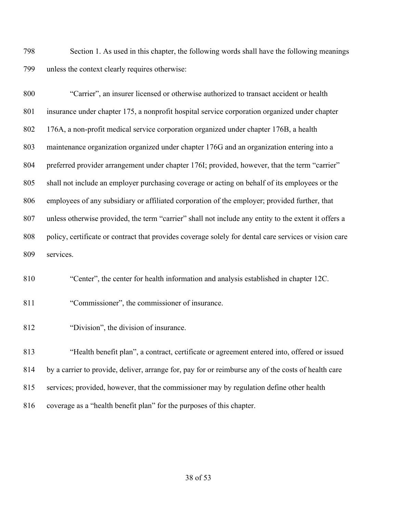Section 1. As used in this chapter, the following words shall have the following meanings unless the context clearly requires otherwise:

 "Carrier", an insurer licensed or otherwise authorized to transact accident or health insurance under chapter 175, a nonprofit hospital service corporation organized under chapter 176A, a non-profit medical service corporation organized under chapter 176B, a health maintenance organization organized under chapter 176G and an organization entering into a 804 preferred provider arrangement under chapter 176I; provided, however, that the term "carrier" shall not include an employer purchasing coverage or acting on behalf of its employees or the employees of any subsidiary or affiliated corporation of the employer; provided further, that unless otherwise provided, the term "carrier" shall not include any entity to the extent it offers a 808 policy, certificate or contract that provides coverage solely for dental care services or vision care services.

"Center", the center for health information and analysis established in chapter 12C.

"Commissioner", the commissioner of insurance.

"Division", the division of insurance.

 "Health benefit plan", a contract, certificate or agreement entered into, offered or issued by a carrier to provide, deliver, arrange for, pay for or reimburse any of the costs of health care services; provided, however, that the commissioner may by regulation define other health coverage as a "health benefit plan" for the purposes of this chapter.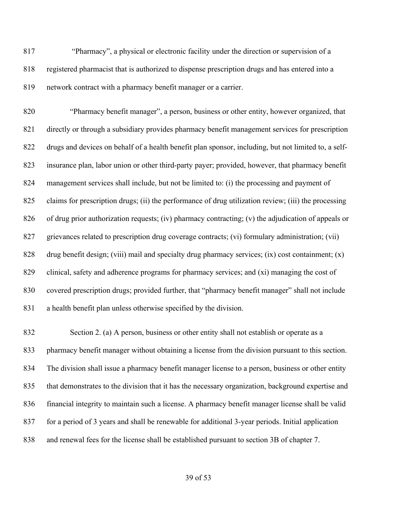"Pharmacy", a physical or electronic facility under the direction or supervision of a registered pharmacist that is authorized to dispense prescription drugs and has entered into a network contract with a pharmacy benefit manager or a carrier.

 "Pharmacy benefit manager", a person, business or other entity, however organized, that directly or through a subsidiary provides pharmacy benefit management services for prescription drugs and devices on behalf of a health benefit plan sponsor, including, but not limited to, a self- insurance plan, labor union or other third-party payer; provided, however, that pharmacy benefit management services shall include, but not be limited to: (i) the processing and payment of claims for prescription drugs; (ii) the performance of drug utilization review; (iii) the processing of drug prior authorization requests; (iv) pharmacy contracting; (v) the adjudication of appeals or grievances related to prescription drug coverage contracts; (vi) formulary administration; (vii) 828 drug benefit design; (viii) mail and specialty drug pharmacy services; (ix) cost containment; (x) clinical, safety and adherence programs for pharmacy services; and (xi) managing the cost of covered prescription drugs; provided further, that "pharmacy benefit manager" shall not include a health benefit plan unless otherwise specified by the division.

 Section 2. (a) A person, business or other entity shall not establish or operate as a pharmacy benefit manager without obtaining a license from the division pursuant to this section. The division shall issue a pharmacy benefit manager license to a person, business or other entity that demonstrates to the division that it has the necessary organization, background expertise and financial integrity to maintain such a license. A pharmacy benefit manager license shall be valid for a period of 3 years and shall be renewable for additional 3-year periods. Initial application and renewal fees for the license shall be established pursuant to section 3B of chapter 7.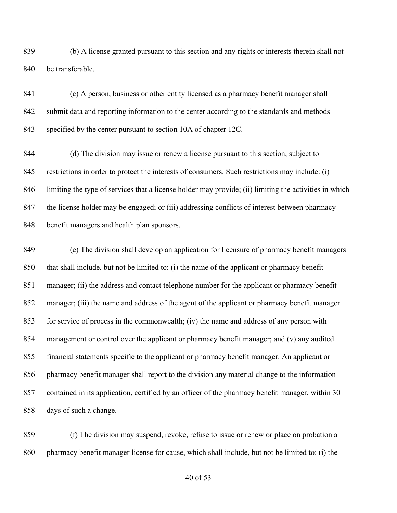(b) A license granted pursuant to this section and any rights or interests therein shall not be transferable.

 (c) A person, business or other entity licensed as a pharmacy benefit manager shall submit data and reporting information to the center according to the standards and methods specified by the center pursuant to section 10A of chapter 12C.

 (d) The division may issue or renew a license pursuant to this section, subject to restrictions in order to protect the interests of consumers. Such restrictions may include: (i) limiting the type of services that a license holder may provide; (ii) limiting the activities in which the license holder may be engaged; or (iii) addressing conflicts of interest between pharmacy benefit managers and health plan sponsors.

 (e) The division shall develop an application for licensure of pharmacy benefit managers that shall include, but not be limited to: (i) the name of the applicant or pharmacy benefit manager; (ii) the address and contact telephone number for the applicant or pharmacy benefit manager; (iii) the name and address of the agent of the applicant or pharmacy benefit manager for service of process in the commonwealth; (iv) the name and address of any person with management or control over the applicant or pharmacy benefit manager; and (v) any audited financial statements specific to the applicant or pharmacy benefit manager. An applicant or pharmacy benefit manager shall report to the division any material change to the information contained in its application, certified by an officer of the pharmacy benefit manager, within 30 days of such a change.

 (f) The division may suspend, revoke, refuse to issue or renew or place on probation a pharmacy benefit manager license for cause, which shall include, but not be limited to: (i) the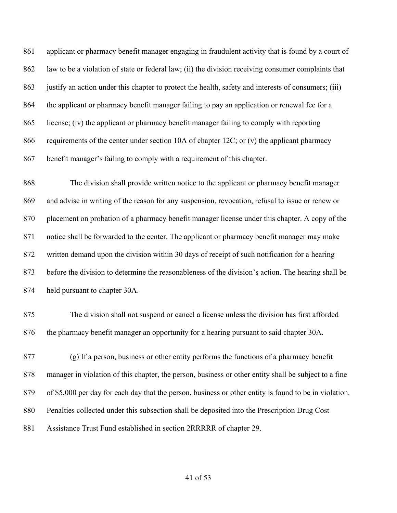applicant or pharmacy benefit manager engaging in fraudulent activity that is found by a court of law to be a violation of state or federal law; (ii) the division receiving consumer complaints that justify an action under this chapter to protect the health, safety and interests of consumers; (iii) the applicant or pharmacy benefit manager failing to pay an application or renewal fee for a license; (iv) the applicant or pharmacy benefit manager failing to comply with reporting 866 requirements of the center under section 10A of chapter 12C; or (v) the applicant pharmacy benefit manager's failing to comply with a requirement of this chapter.

 The division shall provide written notice to the applicant or pharmacy benefit manager and advise in writing of the reason for any suspension, revocation, refusal to issue or renew or placement on probation of a pharmacy benefit manager license under this chapter. A copy of the notice shall be forwarded to the center. The applicant or pharmacy benefit manager may make written demand upon the division within 30 days of receipt of such notification for a hearing before the division to determine the reasonableness of the division's action. The hearing shall be held pursuant to chapter 30A.

 The division shall not suspend or cancel a license unless the division has first afforded the pharmacy benefit manager an opportunity for a hearing pursuant to said chapter 30A.

 (g) If a person, business or other entity performs the functions of a pharmacy benefit manager in violation of this chapter, the person, business or other entity shall be subject to a fine of \$5,000 per day for each day that the person, business or other entity is found to be in violation. Penalties collected under this subsection shall be deposited into the Prescription Drug Cost Assistance Trust Fund established in section 2RRRRR of chapter 29.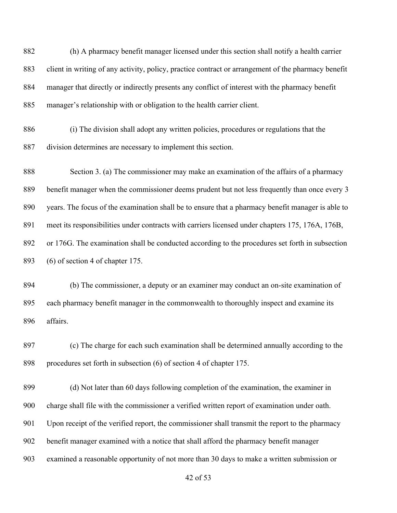(h) A pharmacy benefit manager licensed under this section shall notify a health carrier client in writing of any activity, policy, practice contract or arrangement of the pharmacy benefit manager that directly or indirectly presents any conflict of interest with the pharmacy benefit manager's relationship with or obligation to the health carrier client.

 (i) The division shall adopt any written policies, procedures or regulations that the division determines are necessary to implement this section.

 Section 3. (a) The commissioner may make an examination of the affairs of a pharmacy benefit manager when the commissioner deems prudent but not less frequently than once every 3 years. The focus of the examination shall be to ensure that a pharmacy benefit manager is able to meet its responsibilities under contracts with carriers licensed under chapters 175, 176A, 176B, or 176G. The examination shall be conducted according to the procedures set forth in subsection (6) of section 4 of chapter 175.

 (b) The commissioner, a deputy or an examiner may conduct an on-site examination of each pharmacy benefit manager in the commonwealth to thoroughly inspect and examine its affairs.

 (c) The charge for each such examination shall be determined annually according to the procedures set forth in subsection (6) of section 4 of chapter 175.

 (d) Not later than 60 days following completion of the examination, the examiner in charge shall file with the commissioner a verified written report of examination under oath. Upon receipt of the verified report, the commissioner shall transmit the report to the pharmacy benefit manager examined with a notice that shall afford the pharmacy benefit manager examined a reasonable opportunity of not more than 30 days to make a written submission or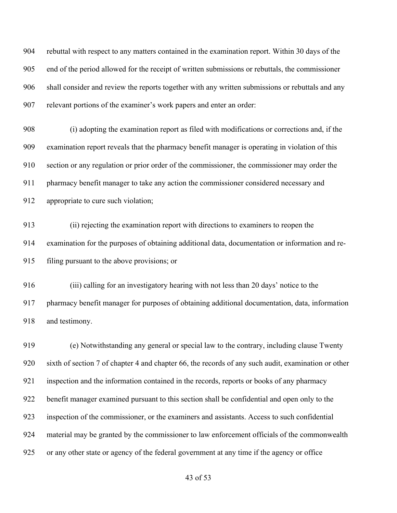rebuttal with respect to any matters contained in the examination report. Within 30 days of the end of the period allowed for the receipt of written submissions or rebuttals, the commissioner shall consider and review the reports together with any written submissions or rebuttals and any relevant portions of the examiner's work papers and enter an order:

 (i) adopting the examination report as filed with modifications or corrections and, if the examination report reveals that the pharmacy benefit manager is operating in violation of this section or any regulation or prior order of the commissioner, the commissioner may order the pharmacy benefit manager to take any action the commissioner considered necessary and 912 appropriate to cure such violation;

 (ii) rejecting the examination report with directions to examiners to reopen the examination for the purposes of obtaining additional data, documentation or information and re-filing pursuant to the above provisions; or

 (iii) calling for an investigatory hearing with not less than 20 days' notice to the pharmacy benefit manager for purposes of obtaining additional documentation, data, information and testimony.

 (e) Notwithstanding any general or special law to the contrary, including clause Twenty sixth of section 7 of chapter 4 and chapter 66, the records of any such audit, examination or other inspection and the information contained in the records, reports or books of any pharmacy benefit manager examined pursuant to this section shall be confidential and open only to the inspection of the commissioner, or the examiners and assistants. Access to such confidential material may be granted by the commissioner to law enforcement officials of the commonwealth or any other state or agency of the federal government at any time if the agency or office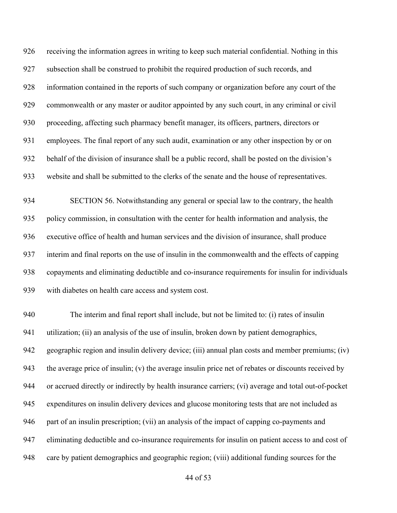receiving the information agrees in writing to keep such material confidential. Nothing in this subsection shall be construed to prohibit the required production of such records, and information contained in the reports of such company or organization before any court of the commonwealth or any master or auditor appointed by any such court, in any criminal or civil proceeding, affecting such pharmacy benefit manager, its officers, partners, directors or employees. The final report of any such audit, examination or any other inspection by or on behalf of the division of insurance shall be a public record, shall be posted on the division's website and shall be submitted to the clerks of the senate and the house of representatives.

 SECTION 56. Notwithstanding any general or special law to the contrary, the health policy commission, in consultation with the center for health information and analysis, the executive office of health and human services and the division of insurance, shall produce interim and final reports on the use of insulin in the commonwealth and the effects of capping copayments and eliminating deductible and co-insurance requirements for insulin for individuals with diabetes on health care access and system cost.

 The interim and final report shall include, but not be limited to: (i) rates of insulin 941 utilization; (ii) an analysis of the use of insulin, broken down by patient demographics, geographic region and insulin delivery device; (iii) annual plan costs and member premiums; (iv) the average price of insulin; (v) the average insulin price net of rebates or discounts received by or accrued directly or indirectly by health insurance carriers; (vi) average and total out-of-pocket expenditures on insulin delivery devices and glucose monitoring tests that are not included as part of an insulin prescription; (vii) an analysis of the impact of capping co-payments and eliminating deductible and co-insurance requirements for insulin on patient access to and cost of care by patient demographics and geographic region; (viii) additional funding sources for the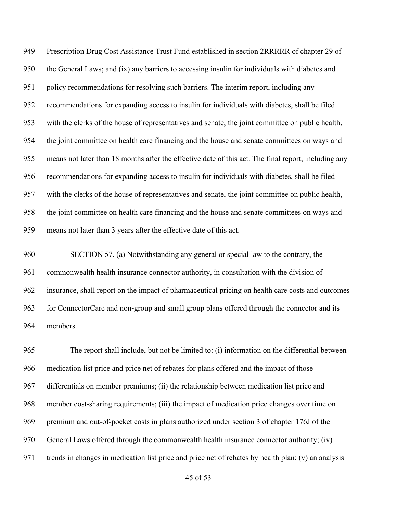Prescription Drug Cost Assistance Trust Fund established in section 2RRRRR of chapter 29 of the General Laws; and (ix) any barriers to accessing insulin for individuals with diabetes and policy recommendations for resolving such barriers. The interim report, including any recommendations for expanding access to insulin for individuals with diabetes, shall be filed with the clerks of the house of representatives and senate, the joint committee on public health, the joint committee on health care financing and the house and senate committees on ways and means not later than 18 months after the effective date of this act. The final report, including any recommendations for expanding access to insulin for individuals with diabetes, shall be filed with the clerks of the house of representatives and senate, the joint committee on public health, the joint committee on health care financing and the house and senate committees on ways and means not later than 3 years after the effective date of this act.

 SECTION 57. (a) Notwithstanding any general or special law to the contrary, the commonwealth health insurance connector authority, in consultation with the division of insurance, shall report on the impact of pharmaceutical pricing on health care costs and outcomes for ConnectorCare and non-group and small group plans offered through the connector and its members.

 The report shall include, but not be limited to: (i) information on the differential between medication list price and price net of rebates for plans offered and the impact of those differentials on member premiums; (ii) the relationship between medication list price and member cost-sharing requirements; (iii) the impact of medication price changes over time on premium and out-of-pocket costs in plans authorized under section 3 of chapter 176J of the General Laws offered through the commonwealth health insurance connector authority; (iv) trends in changes in medication list price and price net of rebates by health plan; (v) an analysis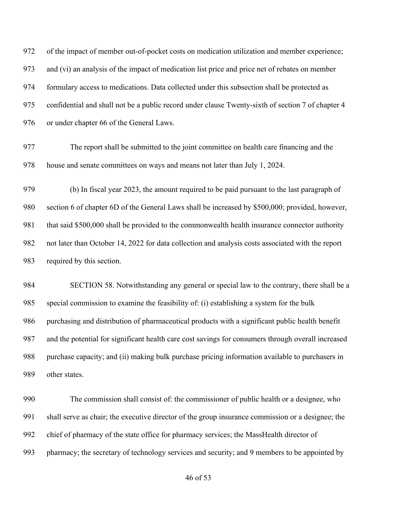of the impact of member out-of-pocket costs on medication utilization and member experience; and (vi) an analysis of the impact of medication list price and price net of rebates on member formulary access to medications. Data collected under this subsection shall be protected as confidential and shall not be a public record under clause Twenty-sixth of section 7 of chapter 4 976 or under chapter 66 of the General Laws.

 The report shall be submitted to the joint committee on health care financing and the house and senate committees on ways and means not later than July 1, 2024.

 (b) In fiscal year 2023, the amount required to be paid pursuant to the last paragraph of section 6 of chapter 6D of the General Laws shall be increased by \$500,000; provided, however, that said \$500,000 shall be provided to the commonwealth health insurance connector authority not later than October 14, 2022 for data collection and analysis costs associated with the report required by this section.

 SECTION 58. Notwithstanding any general or special law to the contrary, there shall be a special commission to examine the feasibility of: (i) establishing a system for the bulk purchasing and distribution of pharmaceutical products with a significant public health benefit and the potential for significant health care cost savings for consumers through overall increased purchase capacity; and (ii) making bulk purchase pricing information available to purchasers in 989 other states.

 The commission shall consist of: the commissioner of public health or a designee, who shall serve as chair; the executive director of the group insurance commission or a designee; the chief of pharmacy of the state office for pharmacy services; the MassHealth director of pharmacy; the secretary of technology services and security; and 9 members to be appointed by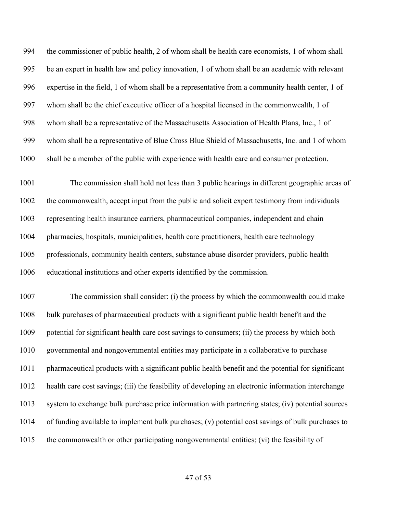the commissioner of public health, 2 of whom shall be health care economists, 1 of whom shall be an expert in health law and policy innovation, 1 of whom shall be an academic with relevant expertise in the field, 1 of whom shall be a representative from a community health center, 1 of whom shall be the chief executive officer of a hospital licensed in the commonwealth, 1 of whom shall be a representative of the Massachusetts Association of Health Plans, Inc., 1 of whom shall be a representative of Blue Cross Blue Shield of Massachusetts, Inc. and 1 of whom shall be a member of the public with experience with health care and consumer protection.

 The commission shall hold not less than 3 public hearings in different geographic areas of the commonwealth, accept input from the public and solicit expert testimony from individuals representing health insurance carriers, pharmaceutical companies, independent and chain pharmacies, hospitals, municipalities, health care practitioners, health care technology professionals, community health centers, substance abuse disorder providers, public health educational institutions and other experts identified by the commission.

 The commission shall consider: (i) the process by which the commonwealth could make bulk purchases of pharmaceutical products with a significant public health benefit and the potential for significant health care cost savings to consumers; (ii) the process by which both governmental and nongovernmental entities may participate in a collaborative to purchase pharmaceutical products with a significant public health benefit and the potential for significant health care cost savings; (iii) the feasibility of developing an electronic information interchange system to exchange bulk purchase price information with partnering states; (iv) potential sources of funding available to implement bulk purchases; (v) potential cost savings of bulk purchases to the commonwealth or other participating nongovernmental entities; (vi) the feasibility of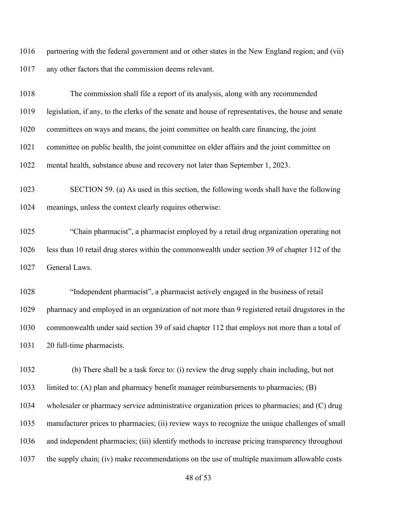partnering with the federal government and or other states in the New England region; and (vii) any other factors that the commission deems relevant.

 The commission shall file a report of its analysis, along with any recommended legislation, if any, to the clerks of the senate and house of representatives, the house and senate committees on ways and means, the joint committee on health care financing, the joint committee on public health, the joint committee on elder affairs and the joint committee on mental health, substance abuse and recovery not later than September 1, 2023.

 SECTION 59. (a) As used in this section, the following words shall have the following meanings, unless the context clearly requires otherwise:

 "Chain pharmacist", a pharmacist employed by a retail drug organization operating not less than 10 retail drug stores within the commonwealth under section 39 of chapter 112 of the General Laws.

 "Independent pharmacist", a pharmacist actively engaged in the business of retail pharmacy and employed in an organization of not more than 9 registered retail drugstores in the commonwealth under said section 39 of said chapter 112 that employs not more than a total of 20 full-time pharmacists.

 (b) There shall be a task force to: (i) review the drug supply chain including, but not limited to: (A) plan and pharmacy benefit manager reimbursements to pharmacies; (B) wholesaler or pharmacy service administrative organization prices to pharmacies; and (C) drug manufacturer prices to pharmacies; (ii) review ways to recognize the unique challenges of small and independent pharmacies; (iii) identify methods to increase pricing transparency throughout the supply chain; (iv) make recommendations on the use of multiple maximum allowable costs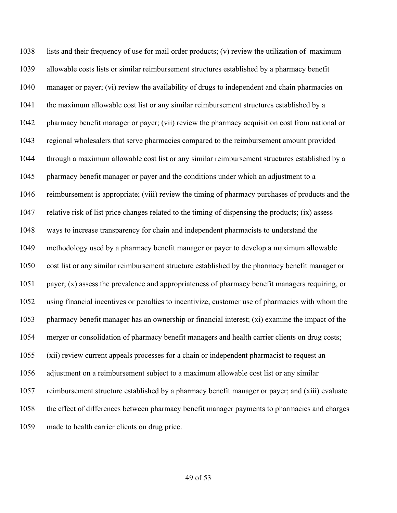lists and their frequency of use for mail order products; (v) review the utilization of maximum allowable costs lists or similar reimbursement structures established by a pharmacy benefit manager or payer; (vi) review the availability of drugs to independent and chain pharmacies on the maximum allowable cost list or any similar reimbursement structures established by a pharmacy benefit manager or payer; (vii) review the pharmacy acquisition cost from national or regional wholesalers that serve pharmacies compared to the reimbursement amount provided through a maximum allowable cost list or any similar reimbursement structures established by a pharmacy benefit manager or payer and the conditions under which an adjustment to a reimbursement is appropriate; (viii) review the timing of pharmacy purchases of products and the relative risk of list price changes related to the timing of dispensing the products; (ix) assess ways to increase transparency for chain and independent pharmacists to understand the methodology used by a pharmacy benefit manager or payer to develop a maximum allowable cost list or any similar reimbursement structure established by the pharmacy benefit manager or payer; (x) assess the prevalence and appropriateness of pharmacy benefit managers requiring, or using financial incentives or penalties to incentivize, customer use of pharmacies with whom the pharmacy benefit manager has an ownership or financial interest; (xi) examine the impact of the merger or consolidation of pharmacy benefit managers and health carrier clients on drug costs; (xii) review current appeals processes for a chain or independent pharmacist to request an adjustment on a reimbursement subject to a maximum allowable cost list or any similar reimbursement structure established by a pharmacy benefit manager or payer; and (xiii) evaluate the effect of differences between pharmacy benefit manager payments to pharmacies and charges made to health carrier clients on drug price.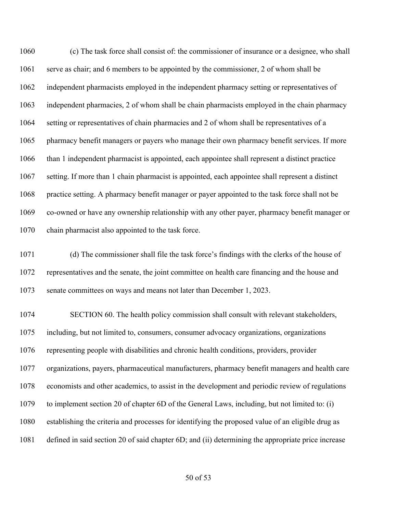(c) The task force shall consist of: the commissioner of insurance or a designee, who shall serve as chair; and 6 members to be appointed by the commissioner, 2 of whom shall be independent pharmacists employed in the independent pharmacy setting or representatives of independent pharmacies, 2 of whom shall be chain pharmacists employed in the chain pharmacy setting or representatives of chain pharmacies and 2 of whom shall be representatives of a pharmacy benefit managers or payers who manage their own pharmacy benefit services. If more than 1 independent pharmacist is appointed, each appointee shall represent a distinct practice setting. If more than 1 chain pharmacist is appointed, each appointee shall represent a distinct practice setting. A pharmacy benefit manager or payer appointed to the task force shall not be co-owned or have any ownership relationship with any other payer, pharmacy benefit manager or chain pharmacist also appointed to the task force.

 (d) The commissioner shall file the task force's findings with the clerks of the house of representatives and the senate, the joint committee on health care financing and the house and senate committees on ways and means not later than December 1, 2023.

 SECTION 60. The health policy commission shall consult with relevant stakeholders, including, but not limited to, consumers, consumer advocacy organizations, organizations representing people with disabilities and chronic health conditions, providers, provider organizations, payers, pharmaceutical manufacturers, pharmacy benefit managers and health care economists and other academics, to assist in the development and periodic review of regulations to implement section 20 of chapter 6D of the General Laws, including, but not limited to: (i) establishing the criteria and processes for identifying the proposed value of an eligible drug as defined in said section 20 of said chapter 6D; and (ii) determining the appropriate price increase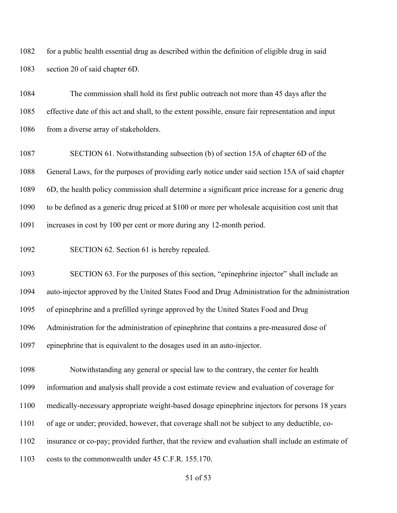for a public health essential drug as described within the definition of eligible drug in said section 20 of said chapter 6D.

 The commission shall hold its first public outreach not more than 45 days after the effective date of this act and shall, to the extent possible, ensure fair representation and input 1086 from a diverse array of stakeholders.

 SECTION 61. Notwithstanding subsection (b) of section 15A of chapter 6D of the General Laws, for the purposes of providing early notice under said section 15A of said chapter 6D, the health policy commission shall determine a significant price increase for a generic drug to be defined as a generic drug priced at \$100 or more per wholesale acquisition cost unit that increases in cost by 100 per cent or more during any 12-month period.

SECTION 62. Section 61 is hereby repealed.

 SECTION 63. For the purposes of this section, "epinephrine injector" shall include an auto-injector approved by the United States Food and Drug Administration for the administration of epinephrine and a prefilled syringe approved by the United States Food and Drug Administration for the administration of epinephrine that contains a pre-measured dose of

epinephrine that is equivalent to the dosages used in an auto-injector.

 Notwithstanding any general or special law to the contrary, the center for health information and analysis shall provide a cost estimate review and evaluation of coverage for

medically-necessary appropriate weight-based dosage epinephrine injectors for persons 18 years

of age or under; provided, however, that coverage shall not be subject to any deductible, co-

insurance or co-pay; provided further, that the review and evaluation shall include an estimate of

costs to the commonwealth under 45 C.F.R. 155.170.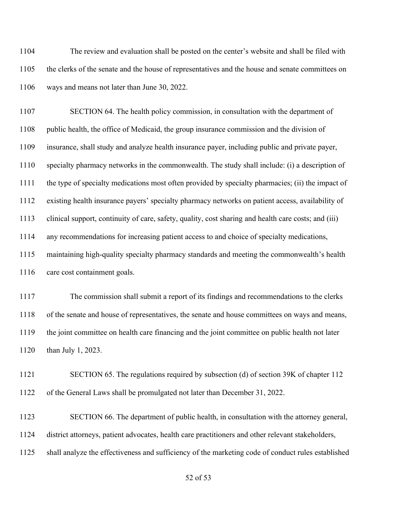The review and evaluation shall be posted on the center's website and shall be filed with the clerks of the senate and the house of representatives and the house and senate committees on ways and means not later than June 30, 2022.

 SECTION 64. The health policy commission, in consultation with the department of public health, the office of Medicaid, the group insurance commission and the division of insurance, shall study and analyze health insurance payer, including public and private payer, specialty pharmacy networks in the commonwealth. The study shall include: (i) a description of the type of specialty medications most often provided by specialty pharmacies; (ii) the impact of existing health insurance payers' specialty pharmacy networks on patient access, availability of clinical support, continuity of care, safety, quality, cost sharing and health care costs; and (iii) any recommendations for increasing patient access to and choice of specialty medications, maintaining high-quality specialty pharmacy standards and meeting the commonwealth's health care cost containment goals.

 The commission shall submit a report of its findings and recommendations to the clerks of the senate and house of representatives, the senate and house committees on ways and means, the joint committee on health care financing and the joint committee on public health not later than July 1, 2023.

 SECTION 65. The regulations required by subsection (d) of section 39K of chapter 112 of the General Laws shall be promulgated not later than December 31, 2022.

 SECTION 66. The department of public health, in consultation with the attorney general, district attorneys, patient advocates, health care practitioners and other relevant stakeholders, shall analyze the effectiveness and sufficiency of the marketing code of conduct rules established